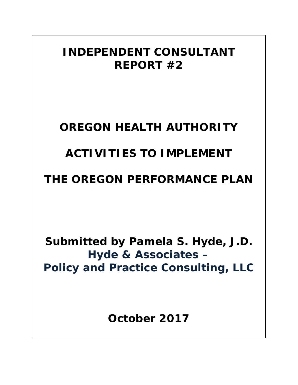# *INDEPENDENT CONSULTANT REPORT #2*

# *OREGON HEALTH AUTHORITY*

# *ACTIVITIES TO IMPLEMENT*

# *THE OREGON PERFORMANCE PLAN*

*Submitted by Pamela S. Hyde, J.D. Hyde & Associates – Policy and Practice Consulting, LLC*

*October 2017*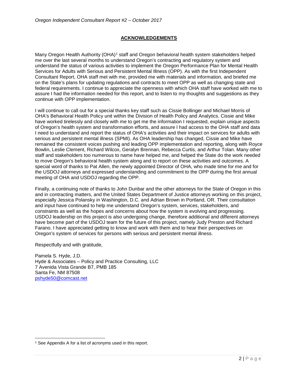# **ACKNOWLEDGEMENTS**

Many Oregon Health Authority (OHA)<sup>[1](#page-1-0)</sup> staff and Oregon behavioral health system stakeholders helped me over the last several months to understand Oregon's contracting and regulatory system and understand the status of various activities to implement the Oregon Performance Plan for Mental Health Services for Adults with Serious and Persistent Mental Illness (OPP). As with the first Independent Consultant Report, OHA staff met with me, provided me with materials and information, and briefed me on the State's plans for updating regulations and contracts to meet OPP as well as changing state and federal requirements. I continue to appreciate the openness with which OHA staff have worked with me to assure I had the information needed for this report, and to listen to my thoughts and suggestions as they continue with OPP implementation.

I will continue to call out for a special thanks key staff such as Cissie Bollinger and Michael Morris of OHA's Behavioral Health Policy unit within the Division of Health Policy and Analytics. Cissie and Mike have worked tirelessly and closely with me to get me the information I requested, explain unique aspects of Oregon's health system and transformation efforts, and assure I had access to the OHA staff and data I need to understand and report the status of OHA's activities and their impact on services for adults with serious and persistent mental illness (SPMI). As OHA leadership has changed, Cissie and Mike have remained the consistent voices pushing and leading OPP implementation and reporting, along with Royce Bowlin, Leslie Clement, Richard Wilcox, Geralyn Brennan, Rebecca Curtis, and Arthur Tolan. Many other staff and stakeholders too numerous to name have helped me, and helped the State do the work needed to move Oregon's behavioral health system along and to report on these activities and outcomes. A special word of thanks to Pat Allen, the newly appointed Director of OHA, who made time for me and for the USDOJ attorneys and expressed understanding and commitment to the OPP during the first annual meeting of OHA and USDOJ regarding the OPP.

Finally, a continuing note of thanks to John Dunbar and the other attorneys for the State of Oregon in this and in contracting matters, and the United States Department of Justice attorneys working on this project, especially Jessica Polansky in Washington, D.C. and Adrian Brown in Portland, OR. Their consultation and input have continued to help me understand Oregon's system, services, stakeholders, and constraints as well as the hopes and concerns about how the system is evolving and progressing. USDOJ leadership on this project is also undergoing change, therefore additional and different attorneys have become part of the USDOJ team for the future of this project, namely Judy Preston and Richard Farano. I have appreciated getting to know and work with them and to hear their perspectives on Oregon's system of services for persons with serious and persistent mental illness.

Respectfully and with gratitude,

Pamela S. Hyde, J.D. Hyde & Associates – Policy and Practice Consulting, LLC 7 Avenida Vista Grande B7, PMB 185 Santa Fe, NM 87508 [pshyde50@comcast.net](mailto:pshyde50@comcast.net)

<span id="page-1-0"></span><sup>&</sup>lt;sup>1</sup> See Appendix A for a list of acronyms used in this report.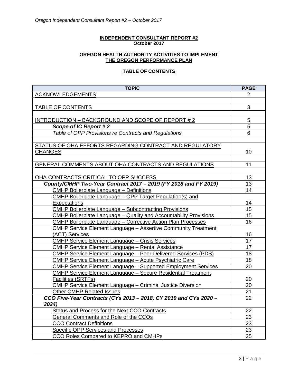# **INDEPENDENT CONSULTANT REPORT #2 October 2017**

# **OREGON HEALTH AUTHORITY ACTIVITIES TO IMPLEMENT THE OREGON PERFORMANCE PLAN**

# **TABLE OF CONTENTS**

| <b>TOPIC</b>                                                             |    |  |
|--------------------------------------------------------------------------|----|--|
| <b>ACKNOWLEDGEMENTS</b>                                                  | 2. |  |
|                                                                          |    |  |
| TABLE OF CONTENTS                                                        | 3  |  |
|                                                                          |    |  |
| INTRODUCTION - BACKGROUND AND SCOPE OF REPORT #2                         | 5  |  |
| Scope of IC Report #2                                                    | 5  |  |
| Table of OPP Provisions re Contracts and Regulations                     | 6  |  |
|                                                                          |    |  |
| STATUS OF OHA EFFORTS REGARDING CONTRACT AND REGULATORY                  |    |  |
| <b>CHANGES</b>                                                           | 10 |  |
|                                                                          |    |  |
| GENERAL COMMENTS ABOUT OHA CONTRACTS AND REGULATIONS                     | 11 |  |
|                                                                          |    |  |
| OHA CONTRACTS CRITICAL TO OPP SUCCESS                                    | 13 |  |
| County/CMHP Two-Year Contract 2017 - 2019 (FY 2018 and FY 2019)          | 13 |  |
| CMHP Boilerplate Language - Definitions                                  | 14 |  |
| CMHP Boilerplate Language - OPP Target Population(s) and                 |    |  |
| Expectations                                                             | 14 |  |
| <b>CMHP Boilerplate Language - Subcontracting Provisions</b>             | 15 |  |
| <b>CMHP Boilerplate Language - Quality and Accountability Provisions</b> | 15 |  |
| <b>CMHP Boilerplate Language - Corrective Action Plan Processes</b>      | 16 |  |
| <b>CMHP Service Element Language - Assertive Community Treatment</b>     |    |  |
| (ACT) Services                                                           | 16 |  |
| <b>CMHP Service Element Language - Crisis Services</b>                   | 17 |  |
| <b>CMHP Service Element Language - Rental Assistance</b>                 | 17 |  |
| <b>CMHP Service Element Language - Peer-Delivered Services (PDS)</b>     | 18 |  |
| CMHP Service Element Language - Acute Psychiatric Care                   | 18 |  |
| <b>CMHP Service Element Language - Supported Employment Services</b>     | 20 |  |
| <b>CMHP Service Element Language - Secure Residential Treatment</b>      |    |  |
| Facilities (SRTFs)                                                       | 20 |  |
| <b>CMHP Service Element Language - Criminal Justice Diversion</b>        | 20 |  |
| <b>Other CMHP Related Issues</b>                                         | 21 |  |
| CCO Five-Year Contracts (CYs 2013 - 2018, CY 2019 and CYs 2020 -         | 22 |  |
| 2024)                                                                    |    |  |
| <b>Status and Process for the Next CCO Contracts</b>                     | 22 |  |
| General Comments and Role of the CCOs                                    | 23 |  |
| <b>CCO Contract Definitions</b>                                          | 23 |  |
| <b>Specific OPP Services and Processes</b>                               | 23 |  |
| CCO Roles Compared to KEPRO and CMHPs                                    | 25 |  |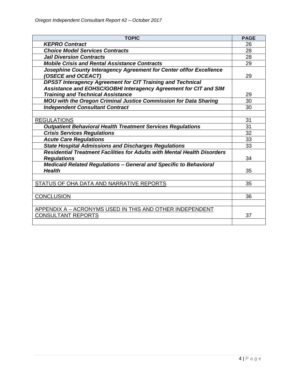| <b>TOPIC</b>                                                             | <b>PAGE</b> |
|--------------------------------------------------------------------------|-------------|
| <b>KEPRO Contract</b>                                                    | 26          |
| <b>Choice Model Services Contracts</b>                                   | 28          |
| <b>Jail Diversion Contracts</b>                                          | 28          |
| <b>Mobile Crisis and Rental Assistance Contracts</b>                     | 29          |
| Josephine County Interagency Agreement for Center of/for Excellence      |             |
| (OSECE and OCEACT)                                                       | 29          |
| <b>DPSST Interagency Agreement for CIT Training and Technical</b>        |             |
| Assistance and EOHSC/GOBHI Interagency Agreement for CIT and SIM         |             |
| <b>Training and Technical Assistance</b>                                 | 29          |
| MOU with the Oregon Criminal Justice Commission for Data Sharing         | 30          |
| <b>Independent Consultant Contract</b>                                   | 30          |
|                                                                          |             |
| <b>REGULATIONS</b>                                                       | 31          |
| <b>Outpatient Behavioral Health Treatment Services Regulations</b>       | 31          |
| <b>Crisis Services Regulations</b>                                       | 32          |
| <b>Acute Care Regulations</b>                                            | 33          |
| <b>State Hospital Admissions and Discharges Regulations</b>              | 33          |
| Residential Treatment Facilities for Adults with Mental Health Disorders |             |
| <b>Regulations</b>                                                       | 34          |
| Medicaid Related Regulations - General and Specific to Behavioral        |             |
| <b>Health</b>                                                            | 35          |
|                                                                          |             |
| STATUS OF OHA DATA AND NARRATIVE REPORTS                                 | 35          |
|                                                                          |             |
| <b>CONCLUSION</b>                                                        | 36          |
|                                                                          |             |
| APPENDIX A - ACRONYMS USED IN THIS AND OTHER INDEPENDENT                 |             |
| <b>CONSULTANT REPORTS</b>                                                | 37          |
|                                                                          |             |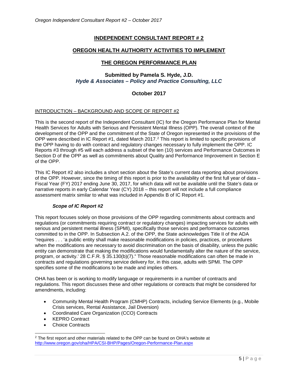# **INDEPENDENT CONSULTANT REPORT # 2**

# **OREGON HEALTH AUTHORITY ACTIVITIES TO IMPLEMENT**

### **THE OREGON PERFORMANCE PLAN**

# **Submitted by Pamela S. Hyde, J.D.** *Hyde & Associates – Policy and Practice Consulting, LLC*

#### **October 2017**

#### INTRODUCTION – BACKGROUND AND SCOPE OF REPORT #2

This is the second report of the Independent Consultant (IC) for the Oregon Performance Plan for Mental Health Services for Adults with Serious and Persistent Mental Illness (OPP). The overall context of the development of the OPP and the commitment of the State of Oregon represented in the provisions of the OPP were described in IC Report #1, dated March [2](#page-4-0)017.<sup>2</sup> This report is limited to specific provisions of the OPP having to do with contract and regulatory changes necessary to fully implement the OPP. IC Reports #3 through #5 will each address a subset of the ten (10) services and Performance Outcomes in Section D of the OPP as well as commitments about Quality and Performance Improvement in Section E of the OPP.

This IC Report #2 also includes a short section about the State's current data reporting about provisions of the OPP. However, since the timing of this report is prior to the availability of the first full year of data – Fiscal Year (FY) 2017 ending June 30, 2017, for which data will not be available until the State's data or narrative reports in early Calendar Year (CY) 2018 – this report will not include a full compliance assessment matrix similar to what was included in Appendix B of IC Report #1.

#### *Scope of IC Report #2*

This report focuses solely on those provisions of the OPP regarding commitments about contracts and regulations (or commitments requiring contract or regulatory changes) impacting services for adults with serious and persistent mental illness (SPMI), specifically those services and performance outcomes committed to in the OPP. In Subsection A.2. of the OPP, the State acknowledges Title II of the ADA "requires . . . 'a public entity shall make reasonable modifications in policies, practices, or procedures when the modifications are necessary to avoid discrimination on the basis of disability, unless the public entity can demonstrate that making the modifications would fundamentally alter the nature of the service, program, or activity.' 28 C.F.R. § 35.130(b)(7)." Those reasonable modifications can often be made in contracts and regulations governing service delivery for, in this case, adults with SPMI. The OPP specifies some of the modifications to be made and implies others.

OHA has been or is working to modify language or requirements in a number of contracts and regulations. This report discusses these and other regulations or contracts that might be considered for amendments, including:

- Community Mental Health Program (CMHP) Contracts, including Service Elements (e.g., Mobile Crisis services, Rental Assistance, Jail Diversion)
- Coordinated Care Organization (CCO) Contracts
- KEPRO Contract
- Choice Contracts

<span id="page-4-0"></span> <sup>2</sup> The first report and other materials related to the OPP can be found on OHA's website at <http://www.oregon.gov/oha/HPA/CSI-BHP/Pages/Oregon-Performance-Plan.aspx>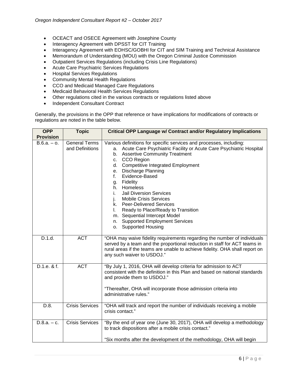- OCEACT and OSECE Agreement with Josephine County
- Interagency Agreement with DPSST for CIT Training
- Interagency Agreement with EOHSC/GOBHI for CIT and SIM Training and Technical Assistance
- Memorandum of Understanding (MOU) with the Oregon Criminal Justice Commission
- Outpatient Services Regulations (including Crisis Line Regulations)
- Acute Care Psychiatric Services Regulations
- Hospital Services Regulations
- Community Mental Health Regulations
- CCO and Medicaid Managed Care Regulations
- Medicaid Behavioral Health Services Regulations
- Other regulations cited in the various contracts or regulations listed above
- Independent Consultant Contract

Generally, the provisions in the OPP that reference or have implications for modifications of contracts or regulations are noted in the table below.

| <b>OPP</b><br><b>Provision</b> | <b>Topic</b>                            | <b>Critical OPP Language w/ Contract and/or Regulatory Implications</b>                                                                                                                                                                                                                                                                                                                                                                                                                                                                                                                                                                   |
|--------------------------------|-----------------------------------------|-------------------------------------------------------------------------------------------------------------------------------------------------------------------------------------------------------------------------------------------------------------------------------------------------------------------------------------------------------------------------------------------------------------------------------------------------------------------------------------------------------------------------------------------------------------------------------------------------------------------------------------------|
| $B.6.a. - o.$                  | <b>General Terms</b><br>and Definitions | Various definitions for specific services and processes, including:<br>Acute Care Psychiatric Facility or Acute Care Psychiatric Hospital<br>a.<br><b>Assertive Community Treatment</b><br>b.<br><b>CCO Region</b><br>C.<br><b>Competitive Integrated Employment</b><br>d.<br>Discharge Planning<br>e.<br>Evidence-Based<br>f.<br>Fidelity<br>g.<br>h. Homeless<br><b>Jail Diversion Services</b><br>i.<br><b>Mobile Crisis Services</b><br>j.<br>k. Peer-Delivered Services<br>Ready to Place/Ready to Transition<br>L.<br>m. Sequential Intercept Model<br><b>Supported Employment Services</b><br>n.<br><b>Supported Housing</b><br>0. |
| D.1.d.                         | <b>ACT</b>                              | "OHA may waive fidelity requirements regarding the number of individuals<br>served by a team and the proportional reduction in staff for ACT teams in<br>rural areas if the teams are unable to achieve fidelity. OHA shall report on<br>any such waiver to USDOJ."                                                                                                                                                                                                                                                                                                                                                                       |
| D.1.e. & f.                    | <b>ACT</b>                              | "By July 1, 2016, OHA will develop criteria for admission to ACT<br>consistent with the definition in this Plan and based on national standards<br>and provide them to USDOJ."<br>"Thereafter, OHA will incorporate those admission criteria into<br>administrative rules."                                                                                                                                                                                                                                                                                                                                                               |
| $\overline{D.8}$ .             | <b>Crisis Services</b>                  | "OHA will track and report the number of individuals receiving a mobile<br>crisis contact."                                                                                                                                                                                                                                                                                                                                                                                                                                                                                                                                               |
| $D.8.a. - c.$                  | <b>Crisis Services</b>                  | "By the end of year one (June 30, 2017), OHA will develop a methodology<br>to track dispositions after a mobile crisis contact."<br>"Six months after the development of the methodology, OHA will begin                                                                                                                                                                                                                                                                                                                                                                                                                                  |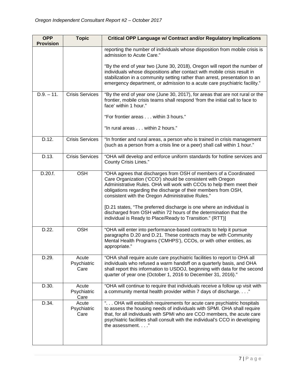| <b>OPP</b><br><b>Provision</b> | <b>Topic</b>                 | <b>Critical OPP Language w/ Contract and/or Regulatory Implications</b>                                                                                                                                                                                                                                                                                                                                                                                                                                                                  |
|--------------------------------|------------------------------|------------------------------------------------------------------------------------------------------------------------------------------------------------------------------------------------------------------------------------------------------------------------------------------------------------------------------------------------------------------------------------------------------------------------------------------------------------------------------------------------------------------------------------------|
|                                |                              | reporting the number of individuals whose disposition from mobile crisis is<br>admission to Acute Care."                                                                                                                                                                                                                                                                                                                                                                                                                                 |
|                                |                              | "By the end of year two (June 30, 2018), Oregon will report the number of<br>individuals whose dispositions after contact with mobile crisis result in<br>stabilization in a community setting rather than arrest, presentation to an<br>emergency department, or admission to a acute care psychiatric facility."                                                                                                                                                                                                                       |
| $D.9. - 11.$                   | <b>Crisis Services</b>       | "By the end of year one (June 30, 2017), for areas that are not rural or the<br>frontier, mobile crisis teams shall respond 'from the initial call to face to<br>face' within 1 hour."                                                                                                                                                                                                                                                                                                                                                   |
|                                |                              | "For frontier areas within 3 hours."                                                                                                                                                                                                                                                                                                                                                                                                                                                                                                     |
|                                |                              | "In rural areas within 2 hours."                                                                                                                                                                                                                                                                                                                                                                                                                                                                                                         |
| D.12.                          | <b>Crisis Services</b>       | "In frontier and rural areas, a person who is trained in crisis management<br>(such as a person from a crisis line or a peer) shall call within 1 hour."                                                                                                                                                                                                                                                                                                                                                                                 |
| D.13.                          | <b>Crisis Services</b>       | "OHA will develop and enforce uniform standards for hotline services and<br><b>County Crisis Lines."</b>                                                                                                                                                                                                                                                                                                                                                                                                                                 |
| D.20.f.                        | <b>OSH</b>                   | "OHA agrees that discharges from OSH of members of a Coordinated<br>Care Organization ('CCO') should be consistent with Oregon<br>Administrative Rules. OHA will work with CCOs to help them meet their<br>obligations regarding the discharge of their members from OSH,<br>consistent with the Oregon Administrative Rules."<br>[D.21 states, "The preferred discharge is one where an individual is<br>discharged from OSH within 72 hours of the determination that the<br>individual is Ready to Place/Ready to Transition." (RTT)] |
| D.22.                          | <b>OSH</b>                   | "OHA will enter into performance-based contracts to help it pursue<br>paragraphs D.20 and D.21. These contracts may be with Community<br>Mental Health Programs ('CMHPS'), CCOs, or with other entities, as<br>appropriate."                                                                                                                                                                                                                                                                                                             |
| D.29.                          | Acute<br>Psychiatric<br>Care | "OHA shall require acute care psychiatric facilities to report to OHA all<br>individuals who refused a warm handoff on a quarterly basis, and OHA<br>shall report this information to USDOJ, beginning with data for the second<br>quarter of year one (October 1, 2016 to December 31, 2016)."                                                                                                                                                                                                                                          |
| D.30.                          | Acute<br>Psychiatric<br>Care | "OHA will continue to require that individuals receive a follow up visit with<br>a community mental health provider within 7 days of discharge."                                                                                                                                                                                                                                                                                                                                                                                         |
| D.34.                          | Acute<br>Psychiatric<br>Care | " OHA will establish requirements for acute care psychiatric hospitals<br>to assess the housing needs of individuals with SPMI. OHA shall require<br>that, for all individuals with SPMI who are CCO members, the acute care<br>psychiatric facilities shall consult with the individual's CCO in developing<br>the assessment."                                                                                                                                                                                                         |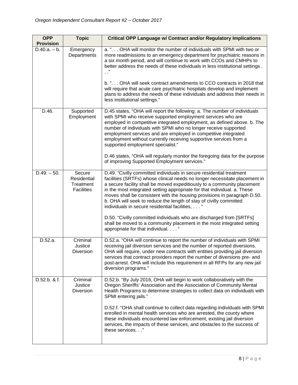| <b>OPP</b><br><b>Provision</b> | <b>Topic</b>                                            | <b>Critical OPP Language w/ Contract and/or Regulatory Implications</b>                                                                                                                                                                                                                                                                                                                                                                                                                                                                                                       |
|--------------------------------|---------------------------------------------------------|-------------------------------------------------------------------------------------------------------------------------------------------------------------------------------------------------------------------------------------------------------------------------------------------------------------------------------------------------------------------------------------------------------------------------------------------------------------------------------------------------------------------------------------------------------------------------------|
| $D.40.a. - b.$                 | Emergency<br>Departments                                | a. ". OHA will monitor the number of individuals with SPMI with two or<br>more readmissions to an emergency department for psychiatric reasons in<br>a six month period, and will continue to work with CCOs and CMHPs to<br>better address the needs of these individuals in less institutional settings.<br>b. " OHA will seek contract amendments to CCO contracts in 2018 that<br>will require that acute care psychiatric hospitals develop and implement<br>plans to address the needs of these individuals and address their needs in<br>less institutional settings." |
| D.46.                          | Supported<br>Employment                                 | D.45 states, "OHA will report the following: a. The number of individuals<br>with SPMI who receive supported employment services who are<br>employed in competitive integrated employment, as defined above. b. The                                                                                                                                                                                                                                                                                                                                                           |
|                                |                                                         | number of individuals with SPMI who no longer receive supported<br>employment services and are employed in competitive integrated<br>employment without currently receiving supportive services from a<br>supported employment specialist."                                                                                                                                                                                                                                                                                                                                   |
|                                |                                                         | D.46 states, "OHA will regularly monitor the foregoing data for the purpose<br>of improving Supported Employment services."                                                                                                                                                                                                                                                                                                                                                                                                                                                   |
| $D.49. - 50.$                  | Secure<br>Residential<br>Treatment<br><b>Facilities</b> | D.49. "Civilly committed individuals in secure residential treatment<br>facilities (SRTFs) whose clinical needs no longer necessitate placement in<br>a secure facility shall be moved expeditiously to a community placement<br>in the most integrated setting appropriate for that individual. a. These<br>moves shall be consistent with the housing provisions in paragraph D.50.<br>b. OHA will seek to reduce the length of stay of civilly committed<br>individuals in secure residential facilities, "                                                                |
|                                |                                                         | D.50. "Civilly committed individuals who are discharged from [SRTFs]<br>shall be moved to a community placement in the most integrated setting<br>appropriate for that individual. "                                                                                                                                                                                                                                                                                                                                                                                          |
| D.52.a.                        | Criminal<br>Justice<br>Diversion                        | D.52.a. "OHA will continue to report the number of individuals with SPMI<br>receiving jail diversion services and the number of reported diversions.<br>OHA will require, under new contracts with entities providing jail diversion<br>services that contract providers report the number of diversions pre- and<br>post-arrest. OHA will include this requirement in all RFPs for any new jail<br>diversion programs."                                                                                                                                                      |
| D.52.b. & f.                   | Criminal<br>Justice<br><b>Diversion</b>                 | D.52.b. "By July 2016, OHA will begin to work collaboratively with the<br>Oregon Sheriffs' Association and the Association of Community Mental<br>Health Programs to determine strategies to collect data on individuals with<br>SPMI entering jails."                                                                                                                                                                                                                                                                                                                        |
|                                |                                                         | D.52.f. "OHA shall continue to collect data regarding individuals with SPMI<br>enrolled in mental health services who are arrested, the county where<br>these individuals encountered law enforcement, existing jail diversion<br>services, the impacts of these services, and obstacles to the success of<br>these services"                                                                                                                                                                                                                                                 |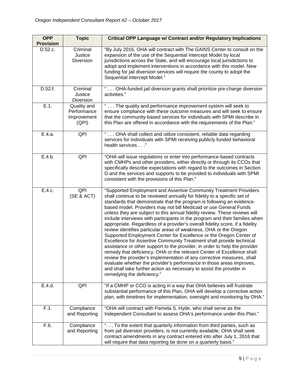| <b>OPP</b><br><b>Provision</b> | <b>Topic</b>                                       | <b>Critical OPP Language w/ Contract and/or Regulatory Implications</b>                                                                                                                                                                                                                                                                                                                                                                                                                                                                                                                                                                                                                                                                                                                                                                                                                                                                                                                                                                                                                                                                                                      |
|--------------------------------|----------------------------------------------------|------------------------------------------------------------------------------------------------------------------------------------------------------------------------------------------------------------------------------------------------------------------------------------------------------------------------------------------------------------------------------------------------------------------------------------------------------------------------------------------------------------------------------------------------------------------------------------------------------------------------------------------------------------------------------------------------------------------------------------------------------------------------------------------------------------------------------------------------------------------------------------------------------------------------------------------------------------------------------------------------------------------------------------------------------------------------------------------------------------------------------------------------------------------------------|
| D.52.c.                        | Criminal<br>Justice<br>Diversion                   | "By July 2016, OHA will contract with The GAINS Center to consult on the<br>expansion of the use of the Sequential Intercept Model by local<br>jurisdictions across the State, and will encourage local jurisdictions to<br>adopt and implement interventions in accordance with this model. New<br>funding for jail diversion services will require the county to adopt the<br>Sequential Intercept Model."                                                                                                                                                                                                                                                                                                                                                                                                                                                                                                                                                                                                                                                                                                                                                                 |
| D.52.f.                        | Criminal<br>Justice<br>Diversion                   | " OHA-funded jail diversion grants shall prioritize pre-charge diversion<br>activities."                                                                                                                                                                                                                                                                                                                                                                                                                                                                                                                                                                                                                                                                                                                                                                                                                                                                                                                                                                                                                                                                                     |
| E.1.                           | Quality and<br>Performance<br>Improvement<br>(QPI) | " The quality and performance improvement system will seek to<br>ensure compliance with these outcome measures and will seek to ensure<br>that the community-based services for individuals with SPMI describe in<br>this Plan are offered in accordance with the requirements of the Plan."                                                                                                                                                                                                                                                                                                                                                                                                                                                                                                                                                                                                                                                                                                                                                                                                                                                                                 |
| E.4.a.                         | QPI                                                | " OHA shall collect and utilize consistent, reliable data regarding<br>services for individuals with SPMI receiving publicly funded behavioral<br>health services"                                                                                                                                                                                                                                                                                                                                                                                                                                                                                                                                                                                                                                                                                                                                                                                                                                                                                                                                                                                                           |
| E.4.b.                         | QPI                                                | "OHA will issue regulations or enter into performance-based contracts<br>with CMHPs and other providers, either directly or through its CCOs that<br>specifically describe expectations with regard to the outcomes in Section<br>D and the services and supports to be provided to individuals with SPMI<br>consistent with the provisions of this Plan."                                                                                                                                                                                                                                                                                                                                                                                                                                                                                                                                                                                                                                                                                                                                                                                                                   |
| E.4.c.                         | QPI<br>(SE & ACT)                                  | "Supported Employment and Assertive Community Treatment Providers<br>shall continue to be reviewed annually for fidelity to a specific set of<br>standards that demonstrate that the program is following an evidence-<br>based model. Providers may not bill Medicaid or use General Funds<br>unless they are subject to this annual fidelity review. These reviews will<br>include interviews with participants in the program and their families when<br>appropriate. Regardless of a provider's overall fidelity score, if a fidelity<br>review identifies particular areas of weakness, OHA or the Oregon<br>Supported Employment Center for Excellence or the Oregon Center of<br>Excellence for Assertive Community Treatment shall provide technical<br>assistance or other support to the provider, in order to help the provider<br>remedy that deficiency. OHA or the relevant Center of Excellence shall<br>review the provider's implementation of any corrective measures, shall<br>evaluate whether the provider's performance in those areas improves,<br>and shall take further action as necessary to assist the provider in<br>remedying the deficiency." |
| E.4.d.                         | QPI                                                | "If a CMHP or CCO is acting in a way that OHA believes will frustrate<br>substantial performance of this Plan, OHA will develop a corrective action<br>plan, with timelines for implementation, oversight and monitoring by OHA."                                                                                                                                                                                                                                                                                                                                                                                                                                                                                                                                                                                                                                                                                                                                                                                                                                                                                                                                            |
| F.1.                           | Compliance<br>and Reporting                        | "OHA will contract with Pamela S. Hyde, who shall serve as the<br>Independent Consultant to assess OHA's performance under this Plan."                                                                                                                                                                                                                                                                                                                                                                                                                                                                                                                                                                                                                                                                                                                                                                                                                                                                                                                                                                                                                                       |
| F.6.                           | Compliance<br>and Reporting                        | " To the extent that quarterly information from third parties, such as<br>from jail diversion providers, is not currently available, OHA shall seek<br>contract amendments in any contract entered into after July 1, 2016 that<br>will require that data reporting be done on a quarterly basis."                                                                                                                                                                                                                                                                                                                                                                                                                                                                                                                                                                                                                                                                                                                                                                                                                                                                           |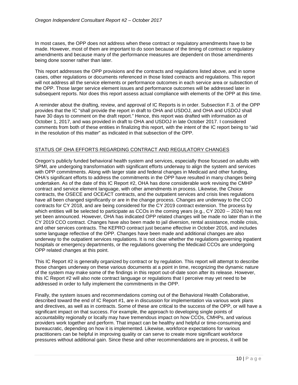In most cases, the OPP does not address when these contract or regulatory amendments have to be made. However, most of them are important to do soon because of the timing of contract or regulatory amendments and because many of the performance measures are dependent on those amendments being done sooner rather than later.

This report addresses the OPP provisions and the contracts and regulations listed above, and in some cases, other regulations or documents referenced in those listed contracts and regulations. This report will not address all the service elements or performance outcomes in each service area or subsection of the OPP. Those larger service element issues and performance outcomes will be addressed later in subsequent reports. Nor does this report assess actual compliance with elements of the OPP at this time.

A reminder about the drafting, review, and approval of IC Reports is in order. Subsection F.3. of the OPP provides that the IC "shall provide the report in draft to OHA and USDOJ, and OHA and USDOJ shall have 30 days to comment on the draft report." Hence, this report was drafted with information as of October 1, 2017, and was provided in draft to OHA and USDOJ in late October 2017. I considered comments from both of these entities in finalizing this report, with the intent of the IC report being to "aid in the resolution of this matter" as indicated in that subsection of the OPP.

### STATUS OF OHA EFFORTS REGARDING CONTRACT AND REGULATORY CHANGES

Oregon's publicly funded behavioral health system and services, especially those focused on adults with SPMI, are undergoing transformation with significant efforts underway to align the system and services with OPP commitments. Along with larger state and federal changes in Medicaid and other funding, OHA's significant efforts to address the commitments in the OPP have resulted in many changes being undertaken. As of the date of this IC Report #2, OHA has done considerable work revising the CMHP contract and service element language, with other amendments in process. Likewise, the Choice contracts, the OSECE and OCEACT contracts, and the outpatient services and crisis lines regulations have all been changed significantly or are in the change process. Changes are underway to the CCO contracts for CY 2018, and are being considered for the CY 2019 contract extension. The process by which entities will be selected to participate as CCOs in the coming years (e.g., CY 2020 -- 2024) has not yet been announced. However, OHA has indicated OPP related changes will be made no later than in the CY 2019 CCO contract. Changes have also been made to jail diversion, rental assistance, mobile crisis, and other services contracts. The KEPRO contract just became effective in October 2016, and includes some language reflective of the OPP. Changes have been made and additional changes are also underway to the outpatient services regulations. It is not clear whether the regulations governing inpatient hospitals or emergency departments, or the regulations governing the Medicaid CCOs are undergoing OPP related changes at this point.

This IC Report #2 is generally organized by contract or by regulation. This report will attempt to describe those changes underway on these various documents at a point in time, recognizing the dynamic nature of the system may make some of the findings in this report out-of-date soon after its release. However, this IC Report #2 will also note contract language or regulations that I perceive may yet need to be addressed in order to fully implement the commitments in the OPP.

Finally, the system issues and recommendations coming out of the Behavioral Health Collaborative, described toward the end of IC Report #1, are in discussion for implementation via various work plans and directives, as well as in contracts. Some of these are critical to the success of the OPP, or will have a significant impact on that success. For example, the approach to developing single points of accountability regionally or locally may have tremendous impact on how CCOs, CMHPs, and various providers work together and perform. That impact can be healthy and helpful or time-consuming and bureaucratic, depending on how it is implemented. Likewise, workforce expectations for various practitioners can be helpful in improving quality or can serve to create more significant workforce pressures without additional gain. Since these and other recommendations are in process, it will be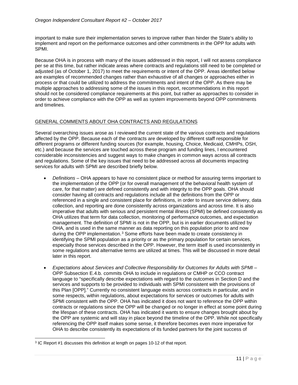important to make sure their implementation serves to improve rather than hinder the State's ability to implement and report on the performance outcomes and other commitments in the OPP for adults with SPMI.

Because OHA is in process with many of the issues addressed in this report, I will not assess compliance per se at this time, but rather indicate areas where contracts and regulations still need to be completed or adjusted (as of October 1, 2017) to meet the requirements or intent of the OPP. Areas identified below are examples of recommended changes rather than exhaustive of all changes or approaches either in process or that could be utilized to address the commitments and intent of the OPP. As there may be multiple approaches to addressing some of the issues in this report, recommendations in this report should not be considered compliance requirements at this point, but rather as approaches to consider in order to achieve compliance with the OPP as well as system improvements beyond OPP commitments and timelines.

# GENERAL COMMENTS ABOUT OHA CONTRACTS AND REGULATIONS

Several overarching issues arose as I reviewed the current state of the various contracts and regulations affected by the OPP. Because each of the contracts are developed by different staff responsible for different programs or different funding sources (for example, housing, Choice, Medicaid, CMHPs, OSH, etc.) and because the services are touched across these program and funding lines, I encountered considerable inconsistencies and suggest ways to make changes in common ways across all contracts and regulations. Some of the key issues that need to be addressed across all documents impacting services for adults with SPMI are described briefly below.

- *Definitions* OHA appears to have no consistent place or method for assuring terms important to the implementation of the OPP (or for overall management of the behavioral health system of care, for that matter) are defined consistently and with integrity to the OPP goals. OHA should consider having all contracts and regulations include all the definitions from the OPP or referenced in a single and consistent place for definitions, in order to insure service delivery, data collection, and reporting are done consistently across organizations and across time. It is also imperative that adults with serious and persistent mental illness (SPMI) be defined consistently as OHA utilizes that term for data collection, monitoring of performance outcomes, and expectation management. The definition of SPMI is not in the OPP, but is in earlier documents utilized by OHA, and is used in the same manner as data reporting on this population prior to and now during the OPP implementation.<sup>[3](#page-10-0)</sup> Some efforts have been made to create consistency in identifying the SPMI population as a priority or as the primary population for certain services, especially those services described in the OPP. However, the term itself is used inconsistently in some regulations and alternative terms are utilized at times. This will be discussed in more detail later in this report.
- *Expectations about Services and Collective Responsibility for Outcomes for Adults with SPMI*  OPP Subsection E.4.b. commits OHA to include in regulations or CMHP or CCO contract language to "specifically describe expectations with regard to the outcomes in Section D and the services and supports to be provided to individuals with SPMI consistent with the provisions of this Plan [OPP]." Currently no consistent language exists across contracts in particular, and in some respects, within regulations, about expectations for services or outcomes for adults with SPMI consistent with the OPP. OHA has indicated it does not want to reference the OPP within contracts or regulations since the OPP will be changed or no longer in effect at some point during the lifespan of these contracts. OHA has indicated it wants to ensure changes brought about by the OPP are systemic and will stay in place beyond the timeline of the OPP. While not specifically referencing the OPP itself makes some sense, it therefore becomes even more imperative for OHA to describe consistently its expectations of its funded partners for the joint success of

<span id="page-10-0"></span> <sup>3</sup> IC Report #1 discusses this definition at length on pages 10-12 of that report.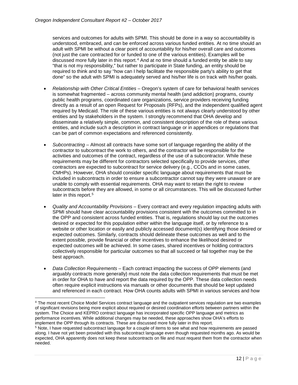services and outcomes for adults with SPMI. This should be done in a way so accountability is understood, embraced, and can be enforced across various funded entities. At no time should an adult with SPMI be without a clear point of accountability for his/her overall care and outcomes (not just the care contracted for or funded to one of the various entities). Examples will be discussed more fully later in this report.[4](#page-11-0) And at no time should a funded entity be able to say "that is not my responsibility," but rather to participate in State funding, an entity should be required to think and to say "how can I help facilitate the responsible party's ability to get that done" so the adult with SPMI is adequately served and his/her life is on track with his/her goals.

- *Relationship with Other Critical Entities*  Oregon's system of care for behavioral health services is somewhat fragmented – across community mental health (and addiction) programs, county public health programs, coordinated care organizations, service providers receiving funding directly as a result of an open Request for Proposals (RFPs), and the independent qualified agent required by Medicaid. The role of these various entities is not always clearly understood by other entities and by stakeholders in the system. I strongly recommend that OHA develop and disseminate a relatively simple, common, and consistent description of the role of these various entities, and include such a description in contract language or in appendices or regulations that can be part of common expectations and referenced consistently.
- *Subcontracting*  Almost all contracts have some sort of language regarding the ability of the contractor to subcontract the work to others, and the contractor will be responsible for the activities and outcomes of the contract, regardless of the use of a subcontractor. While these requirements may be different for contractors selected specifically to provide services, other contractors are expected to subcontract for service delivery (e.g., CCOs and in some cases, CMHPs). However, OHA should consider specific language about requirements that must be included in subcontracts in order to ensure a subcontractor cannot say they were unaware or are unable to comply with essential requirements. OHA may want to retain the right to review subcontracts before they are allowed, in some or all circumstances. This will be discussed further later in this report.<sup>[5](#page-11-1)</sup>
- *Quality and Accountability Provisions* Every contract and every regulation impacting adults with SPMI should have clear accountability provisions consistent with the outcomes committed to in the OPP and consistent across funded entities. That is, regulations should lay out the outcomes desired or expected for this population either within the language itself, or by reference to a website or other location or easily and publicly accessed document(s) identifying those desired or expected outcomes. Similarly, contracts should delineate these outcomes as well and to the extent possible, provide financial or other incentives to enhance the likelihood desired or expected outcomes will be achieved. In some cases, shared incentives or holding contractors collectively responsible for particular outcomes so that all succeed or fail together may be the best approach.
- *Data Collection Requirements* Each contract impacting the success of OPP elements (and arguably contracts more generally) must note the data collection requirements that must be met in order for OHA to have and report the data required by the OPP. These data collection needs often require explicit instructions via manuals or other documents that should be kept updated and referenced in each contract. How OHA counts adults with SPMI in various services and how

<span id="page-11-0"></span> <sup>4</sup> The most recent Choice Model Services contract language and the outpatient services regulation are two examples of significant revisions being more explicit about required or desired coordination efforts between partners within the system. The Choice and KEPRO contract language has incorporated specific OPP language and metrics as performance incentives. While additional changes may be needed, these approaches show OHA's efforts to implement the OPP through its contracts. These are discussed more fully later in this report.

<span id="page-11-1"></span><sup>5</sup> Note, I have requested subcontract language for a couple of items to see what and how requirements are passed along. I have not yet been provided with this subcontract language even though requested months ago. As would be expected, OHA apparently does not keep these subcontracts on file and must request them from the contractor when needed.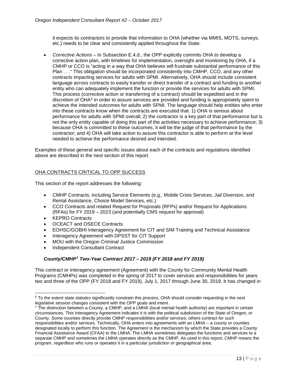it expects its contractors to provide that information to OHA (whether via MMIS, MOTS, surveys, etc.) needs to be clear and consistently applied throughout the State.

• *Corrective Actions* – In Subsection E.4.d., the OPP explicitly commits OHA to develop a corrective action plan, with timelines for implementation, oversight and monitoring by OHA, if a CMHP or CCO is "acting in a way that OHA believes will frustrate substantial performance of this Plan . . ." This obligation should be incorporated consistently into CMHP, CCO, and any other contracts impacting services for adults with SPMI. Alternatively, OHA should include consistent language across contracts to easily transfer or direct transfer of a contract and funding to another entity who can adequately implement the function or provide the services for adults with SPMI. This process (corrective action or transferring of a contract) should be expedited and in the discretion of OHA<sup>[6](#page-12-0)</sup> in order to assure services are provided and funding is appropriately spent to achieve the intended outcomes for adults with SPMI. The language should help entities who enter into these contracts know when the contracts are executed that: 1) OHA is serious about performance for adults with SPMI overall; 2) the contractor is a key part of that performance but is not the only entity capable of doing this part of the activities necessary to achieve performance; 3) because OHA is committed to these outcomes, it will be the judge of that performance by the contractor; and 4) OHA will take action to assure this contractor is able to perform at the level needed to achieve the performance desired and intended.

Examples of these general and specific issues about each of the contracts and regulations identified above are described in the next section of this report.

# OHA CONTRACTS CRITICAL TO OPP SUCCESS

This section of the report addresses the following:

- CMHP Contracts, including Service Elements (e.g., Mobile Crisis Services, Jail Diversion, and Rental Assistance, Choice Model Services, etc.)
- CCO Contracts and related Request for Proposals (RFPs) and/or Request for Applications (RFAs) for FY 2019 – 2023 (and potentially CMS request for approval)
- KEPRO Contracts
- OCEACT and OSECE Contracts
- EOHSC/GOBHI Interagency Agreement for CIT and SIM Training and Technical Assistance
- Interagency Agreement with DPSST for CIT Support
- MOU with the Oregon Criminal Justice Commission
- Independent Consultant Contract

# *County/CMHP[7](#page-12-1) Two-Year Contract 2017 – 2019 (FY 2018 and FY 2019)*

This contract or interagency agreement (Agreement) with the County for Community Mental Health Programs (CMHPs) was completed in the spring of 2017 to cover services and responsibilities for years two and three of the OPP (FY 2018 and FY 2019), July 1, 2017 through June 30, 2019. It has changed in

<span id="page-12-0"></span><sup>&</sup>lt;sup>6</sup> To the extent state statutes significantly constrain this process, OHA should consider requesting in the next legislative session changes consistent with the OPP goals and intent.

<span id="page-12-1"></span> $\frac{7}{1}$  The distinction between a County, a CMHP, and a LMHA (local mental health authority) are important in certain circumstances. This Interagency Agreement indicates it is with the political subdivision of the State of Oregon, or County. Some counties directly provide CMHP responsibilities and/or services; others contract for such responsibilities and/or services. Technically, OHA enters into agreements with an LMHA – a county or counties designated locally to perform this function. The Agreement is the mechanism by which the State provides a County Financial Assistance Award (CFAA) to the LMHA. The LMHA sometimes delegates the functions and services to a separate CMHP and sometimes the LMHA operates directly as the CMHP. As used in this report, CMHP means the program, regardless who runs or operates it in a particular jurisdiction or geographical area.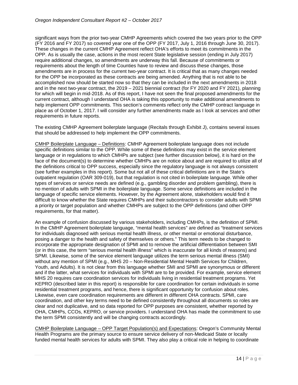significant ways from the prior two-year CMHP Agreements which covered the two years prior to the OPP (FY 2016 and FY 2017) so covered year one of the OPP (FY 2017, July 1, 2016 through June 30, 2017). These changes in the current CMHP Agreement reflect OHA's efforts to meet its commitments in the OPP. As is usually the case, actions in the most recent State legislative session (ending in July 2017) require additional changes, so amendments are underway this fall. Because of commitments or requirements about the length of time Counties have to review and discuss these changes, those amendments are in process for the current two-year contract. It is critical that as many changes needed for the OPP be incorporated as these contracts are being amended. Anything that is not able to be accomplished now should be started now so that they can be included in the next amendments in 2018 and in the next two-year contract, the 2019 – 2021 biennial contract (for FY 2020 and FY 2021), planning for which will begin in mid-2018. As of this report, I have not seen the final proposed amendments for the current contract, although I understand OHA is taking this opportunity to make additional amendments to help implement OPP commitments. This section's comments reflect only the CMHP contract language in place as of October 1, 2017. I will consider any further amendments made as I look at services and other requirements in future reports.

The existing CMHP Agreement boilerplate language (Recitals through Exhibit J), contains several issues that should be addressed to help implement the OPP commitments.

CMHP Boilerplate Language – Definitions: CMHP Agreement boilerplate language does not include specific definitions similar to the OPP. While some of these definitions may exist in the service element language or in regulations to which CMHPs are subject (see further discussion below), it is hard on the face of the document(s) to determine whether CMHPs are on notice about and are required to utilize all of the definitions critical to OPP success, especially since the regulatory language is not always consistent (see further examples in this report). Some but not all of these critical definitions are in the State's outpatient regulation (OAR 309-019), but that regulation is not cited in boilerplate language. While other types of services or service needs are defined (e.g., gambling disorder and problem gambling), there is no mention of adults with SPMI in the boilerplate language. Some service definitions are included in the language of specific service elements. However, by the Agreement alone, stakeholders would find it difficult to know whether the State requires CMHPs and their subcontractors to consider adults with SPMI a priority or target population and whether CMHPs are subject to the OPP definitions (and other OPP requirements, for that matter).

An example of confusion discussed by various stakeholders, including CMHPs, is the definition of SPMI. In the CMHP Agreement boilerplate language, "mental health services" are defined as "treatment services for individuals diagnosed with serious mental health illness, or other mental or emotional disturbance, posing a danger to the health and safety of themselves or others." This term needs to be changed to incorporate the appropriate designation of SPMI and to remove the artificial differentiation between SMI (or in this case, the term "serious mental health illness" which is inaccurate for all kinds of reasons) and SPMI. Likewise, some of the service element language utilizes the term serious mental illness (SMI) without any mention of SPMI (e.g., MHS 20 – Non-Residential Mental Health Services for Children, Youth, and Adults). It is not clear from this language whether SMI and SPMI are synonymous or different and if the latter, what services for individuals with SPMI are to be provided. For example, service element MHS 20 requires care coordination services for individuals living in residential treatment programs. Yet KEPRO (described later in this report) is responsible for care coordination for certain individuals in some residential treatment programs, and hence, there is significant opportunity for confusion about roles. Likewise, even care coordination requirements are different in different OHA contracts. SPMI, care coordination, and other key terms need to be defined consistently throughout all documents so roles are clear and not duplicative, and so data reported for OPP purposes are consistent, whether reported by OHA, CMHPs, CCOs, KEPRO, or service providers. I understand OHA has made the commitment to use the term SPMI consistently and will be changing contracts accordingly.

CMHP Boilerplate Language – OPP Target Population(s) and Expectations: Oregon's Community Mental Health Programs are the primary source to ensure service delivery of non-Medicaid State or locally funded mental health services for adults with SPMI. They also play a critical role in helping to coordinate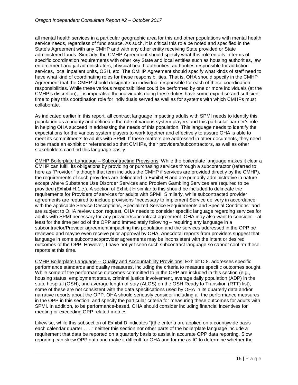all mental health services in a particular geographic area for this and other populations with mental health service needs, regardless of fund source. As such, it is critical this role be noted and specified in the State's Agreement with any CMHP and with any other entity receiving State provided or State administered funds. Similarly, the CMHP Agreement should specify what this role entails in terms of specific coordination requirements with other key State and local entities such as housing authorities, law enforcement and jail administrators, physical health authorities, authorities responsible for addiction services, local inpatient units, OSH, etc. The CMHP Agreement should specify what kinds of staff need to have what kind of coordinating roles for these responsibilities. That is, OHA should specify in the CMHP Agreement that the CMHP should designate an individual responsible for each of these coordination responsibilities. While these various responsibilities could be performed by one or more individuals (at the CMHP's discretion), it is imperative the individuals doing these duties have some expertise and sufficient time to play this coordination role for individuals served as well as for systems with which CMHPs must collaborate.

As indicated earlier in this report, all contract language impacting adults with SPMI needs to identify this population as a priority and delineate the role of various system players and this particular partner's role in helping OHA succeed in addressing the needs of this population. This language needs to identify the expectations for the various system players to work together and effectively to assure OHA is able to meet its commitments to adults with SPMI. If these matters are addressed in other documents, they need to be made an exhibit or referenced so that CMHPs, their providers/subcontractors, as well as other stakeholders can find this language easily.

CMHP Boilerplate Language – Subcontracting Provisions: While the boilerplate language makes it clear a CMHP can fulfill its obligations by providing or purchasing services through a subcontractor (referred to here as "Provider," although that term includes the CMHP if services are provided directly by the CMHP), the requirements of such providers are delineated in Exhibit H and are primarily administrative in nature except where Substance Use Disorder Services and Problem Gambling Services are required to be provided (Exhibit H.1.c.). A section of Exhibit H similar to this should be included to delineate the requirements for Providers of services for adults with SPMI. Similarly, while subcontracted provider agreements are required to include provisions "necessary to implement Service delivery in accordance with the applicable Service Descriptions, Specialized Service Requirements and Special Conditions" and are subject to OHA review upon request, OHA needs to consider specific language regarding services for adults with SPMI necessary for any provider/subcontract agreement. OHA may also want to consider – at least for the time period of the OPP and immediately following – requiring any language in a subcontractor/Provider agreement impacting this population and the services addressed in the OPP be reviewed and maybe even receive prior approval by OHA. Anecdotal reports from providers suggest that language in some subcontract/provider agreements may be inconsistent with the intent or desired outcomes of the OPP. However, I have not yet seen such subcontract language so cannot confirm these reports at this time.

CMHP Boilerplate Language -- Quality and Accountability Provisions: Exhibit D.8. addresses specific performance standards and quality measures, including the criteria to measure specific outcomes sought. While some of the performance outcomes committed to in the OPP are included in this section (e.g., housing status, employment status, criminal justice involvement, average daily population (ADP) in the state hospital (OSH), and average length of stay (ALOS) on the OSH Ready to Transition (RTT) list), some of these are not consistent with the data specifications used by OHA in its quarterly data and/or narrative reports about the OPP. OHA should seriously consider including all the performance measures in the OPP in this section, and specify the particular criteria for measuring these outcomes for adults with SPMI. In addition, to be performance-based, OHA should consider including financial incentives for meeting or exceeding OPP related metrics.

Likewise, while this subsection of Exhibit D indicates "[t]he criteria are applied on a countywide basis each calendar quarter . . .," neither this section nor other parts of the boilerplate language include a requirement that data be reported on a quarterly basis to assist in accurate OPP data reporting. Slow reporting can skew OPP data and make it difficult for OHA and for me as IC to determine whether the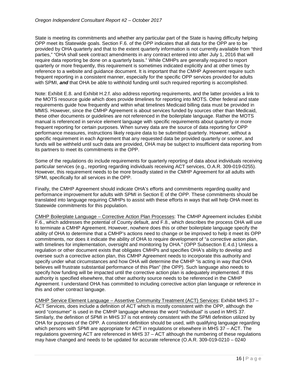State is meeting its commitments and whether any particular part of the State is having difficulty helping OPP meet its Statewide goals. Section F.6. of the OPP indicates that all data for the OPP are to be provided by OHA quarterly and that to the extent quarterly information is not currently available from "third parties," "OHA shall seek contract amendments in any contract entered into after July 1, 2016 that will require data reporting be done on a quarterly basis." While CMHPs are generally required to report quarterly or more frequently, this requirement is sometimes indicated explicitly and at other times by reference to a website and guidance document. It is important that the CMHP Agreement require such frequent reporting in a consistent manner, especially for the specific OPP services provided for adults with SPMI, *and* that OHA be able to withhold funding until such required reporting is accomplished.

Note: Exhibit E.8. and Exhibit H.2.f. also address reporting requirements, and the latter provides a link to the MOTS resource guide which does provide timelines for reporting into MOTS. Other federal and state requirements guide how frequently and within what timelines Medicaid billing data must be provided in MMIS. However, since the CMHP Agreement is about services funded by sources other than Medicaid, these other documents or guidelines are not referenced in the boilerplate language. Rather the MOTS manual is referenced in service element language with specific requirements about quarterly or more frequent reporting for certain purposes. When survey data are the source of data reporting for OPP performance measures, instructions likely require data to be submitted quarterly. However, without a specific requirement in each Agreement that any requested data be provided quarterly or sooner, and funds will be withheld until such data are provided, OHA may be subject to insufficient data reporting from its partners to meet its commitments in the OPP.

Some of the regulations do include requirements for quarterly reporting of data about individuals receiving particular services (e.g., reporting regarding individuals receiving ACT services, O.A.R. 309-019-0255). However, this requirement needs to be more broadly stated in the CMHP Agreement for all adults with SPMI, specifically for all services in the OPP.

Finally, the CMHP Agreement should indicate OHA's efforts and commitments regarding quality and performance improvement for adults with SPMI in Section E of the OPP. These commitments should be translated into language requiring CMHPs to assist with these efforts in ways that will help OHA meet its Statewide commitments for this population.

CMHP Boilerplate Language – Corrective Action Plan Processes: The CMHP Agreement includes Exhibit F.6., which addresses the potential of County default, and F.8., which describes the process OHA will use to terminate a CMHP Agreement. However, nowhere does this or other boilerplate language specify the ability of OHA to determine that a CMHP's actions need to change or be improved to help it meet its OPP commitments, nor does it indicate the ability of OHA to require development of "a corrective action plan, with timelines for implementation, oversight and monitoring by OHA." (OPP Subsection E.4.d.) Unless a regulation or other document exists that obligates CMHPs and specifies OHA's ability to develop and oversee such a corrective action plan, this CMHP Agreement needs to incorporate this authority and specify under what circumstances and how OHA will determine the CMHP "is acting in way that OHA believes will frustrate substantial performance of this Plan" (the OPP). Such language also needs to specify how funding will be impacted until the corrective action plan is adequately implemented. If this authority is specified elsewhere, that other authority source needs to be referenced in the CMHP Agreement. I understand OHA has committed to including corrective action plan language or reference in this and other contract language.

CMHP Service Element Language – Assertive Community Treatment (ACT) Services: Exhibit MHS 37 – ACT Services, does include a definition of ACT which is mostly consistent with the OPP, although the word "consumer" is used in the CMHP language whereas the word "individual" is used in MHS 37. Similarly, the definition of SPMI in MHS 37 is not entirely consistent with the SPMI definition utilized by OHA for purposes of the OPP. A consistent definition should be used, with qualifying language regarding which persons with SPMI are appropriate for ACT in regulations or elsewhere in MHS 37 – ACT. The regulations governing ACT are referenced in MHS 37 – ACT although the numbering of these regulations may have changed and needs to be updated for accurate reference (O.A.R. 309-019-0210 – 0240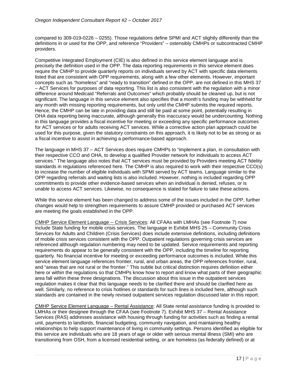compared to 309-019-0226 – 0255). Those regulations define SPMI and ACT slightly differently than the definitions in or used for the OPP, and reference "Providers" – ostensibly CMHPs or subcontracted CMHP providers.

Competitive Integrated Employment (CIE) is also defined in this service element language and is precisely the definition used in the OPP. The data reporting requirements in this service element does require the CMHP to provide quarterly reports on individuals served by ACT with specific data elements listed that are consistent with OPP requirements, along with a few other elements. However, important concepts such as "homeless" and "ready to transition" defined in the OPP, are not defined in this MHS 37 – ACT Services for purposes of data reporting. This list is also consistent with the regulation with a minor difference around Medicaid "Referrals and Outcomes" which probably should be cleaned up, but is not significant. The language in this service element also specifies that a month's funding may be withheld for any month with missing reporting requirements, but only until the CMHP submits the required reports. Hence, the CMHP can be late in providing data and still be paid at some point, potentially resulting in OHA data reporting being inaccurate, although generally this inaccuracy would be undercounting. Nothing in this language provides a fiscal incentive for meeting or exceeding any specific performance outcomes for ACT services or for adults receiving ACT services. While a corrective action plan approach could be used for this purpose, given the statutory constraints on this approach, it is likely not to be as strong or as a fiscal incentive to assist in achieving a performance-based approach.

The language in MHS 37 – ACT Services does require CMHPs to "implement a plan, in consultation with their respective CCO and OHA, to develop a qualified Provider network for individuals to access ACT services." The language also notes that ACT services must be provided by Providers meeting ACT fidelity standards in regulations referenced here. The CMHP is also required to work with their respective CCO(s) to increase the number of eligible individuals with SPMI served by ACT teams. Language similar to the OPP regarding referrals and waiting lists is also included. However, nothing is included regarding OPP commitments to provide other evidence-based services when an individual is denied, refuses, or is unable to access ACT services. Likewise, no consequence is stated for failure to take these actions.

While this service element has been changed to address some of the issues included in the OPP, further changes would help to strengthen requirements to assure CMHP provided or purchased ACT services are meeting the goals established in the OPP.

CMHP Service Element Language -- Crisis Services: All CFAAs with LMHAs (see Footnote 7) now include State funding for mobile crisis services. The language in Exhibit MHS 25 – Community Crisis Services for Adults and Children (Crisis Services) does include extensive definitions, including definitions of mobile crisis services consistent with the OPP. Outpatient regulations governing crisis services are referenced although regulation numbering may need to be updated. Service requirements and reporting requirements do appear to be generally consistent with the OPP, including the timeline for reporting quarterly. No financial incentive for meeting or exceeding performance outcomes is included. While this service element language references frontier, rural, and urban areas, the OPP references frontier, rural, and "areas that are not rural or the frontier." This subtle but critical distinction requires definition either here or within the regulations so that CMHPs know how to report and know what parts of their geographic area fall within these three designations. The discussion about this issue in the outpatient services regulation makes it clear that this language needs to be clarified there and should be clarified here as well. Similarly, no reference to crisis hotlines or standards for such lines is included here, although such standards are contained in the newly revised outpatient services regulation discussed later in this report.

CMHP Service Element Language – Rental Assistance: All State rental assistance funding is provided to LMHAs or their designee through the CFAA (see Footnote 7). Exhibit MHS 37 – Rental Assistance Services (RAS) addresses assistance with housing through funding for activities such as finding a rental unit, payments to landlords, financial budgeting, community navigation, and maintaining healthy relationships to help support maintenance of living in community settings. Persons identified as eligible for this service are individuals who are 18 years of age or older with serious mental illness (SMI) who are transitioning from OSH, from a licensed residential setting, or are homeless (as federally defined) or at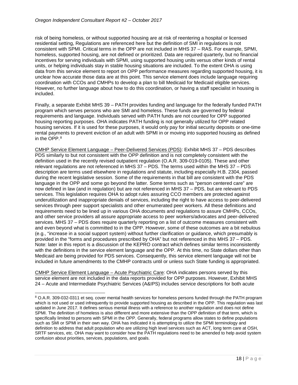risk of being homeless, or without supported housing are at risk of reentering a hospital or licensed residential setting, Regulations are referenced here but the definition of SMI in regulations is not consistent with SPMI. Critical terms in the OPP are not included in MHS 37 – RAS. For example, SPMI, homeless, supported housing, are not defined or prioritized. Data are required quarterly, but no financial incentives for serving individuals with SPMI, using supported housing units versus other kinds of rental units, or helping individuals stay in stable housing situations are included. To the extent OHA is using data from this service element to report on OPP performance measures regarding supported housing, it is unclear how accurate those data are at this point. This service element does include language requiring coordination with CCOs and CMHPs to develop a plan to bill Medicaid for Medicaid eligible services. However, no further language about how to do this coordination, or having a staff specialist in housing is included.

Finally, a separate Exhibit MHS 39 – PATH provides funding and language for the federally funded PATH program which serves persons who are SMI and homeless. These funds are governed by federal requirements and language. Individuals served with PATH funds are not counted for OPP supported housing reporting purposes. OHA indicates PATH funding is not generally utilized for OPP related housing services. If it is used for these purposes, it would only pay for initial security deposits or one-time rental payments to prevent eviction of an adult with SPMI in or moving into supported housing as defined in the OPP.[8](#page-17-0)

CMHP Service Element Language – Peer-Delivered Services (PDS): Exhibit MHS 37 – PDS describes PDS similarly to but not consistent with the OPP definition and is not completely consistent with the definition used in the recently revised outpatient regulation (O.A.R. 309-019-0105). These and other relevant regulations are not referenced in MHS 37 – PDS. The terms used within the MHS 37 – PDS description are terms used elsewhere in regulations and statute, including especially H.B. 2304, passed during the recent legislative session. Some of the requirements in that bill are consistent with the PDS language in the OPP and some go beyond the latter. Some terms such as "person centered care" are now defined in law (and in regulation) but are not referenced in MHS 37 – PDS, but are relevant to PDS services. This legislation requires OHA to adopt rules assuring CCO members are protected against underutilization and inappropriate denials of services, including the right to have access to peer-delivered services through peer support specialists and other enumerated peer workers. All these definitions and requirements need to be lined up in various OHA documents and regulations to assure CMHPs, CCOs, and other service providers all assure appropriate access to peer workers/advocates and peer-delivered services. MHS 37 – PDS does require quarterly reporting on a list of outcome measures consistent with and even beyond what is committed to in the OPP. However, some of these outcomes are a bit nebulous (e.g., "increase in a social support system) without further clarification or guidance, which presumably is provided in the "forms and procedures prescribed by OHA" but not referenced in this MHS 37 – PDS. Note: later in this report is a discussion of the KEPRO contract which defines similar terms inconsistently with the definitions in the service element language and the OPP. At this time, no State dollars other than Medicaid are being provided for PDS services. Consequently, this service element language will not be included in future amendments to the CMHP contracts until or unless such State funding is appropriated.

CMHP Service Element Language – Acute Psychiatric Care: OHA indicates persons served by this service element are not included in the data reports provided for OPP purposes. However, Exhibit MHS 24 – Acute and Intermediate Psychiatric Services (A&IPS) includes service descriptions for both acute

<span id="page-17-0"></span> <sup>8</sup> O.A.R. 309-032-0311 et seq. cover mental health services for homeless persons funded through the PATH program which is not used or used infrequently to provide supported housing as described in the OPP. This regulation was last updated in June 2017. It defines serious mental illness with a reference to another regulation and does not define SPMI. The definition of homeless is also different and more extensive than the OPP definition of that term, which is specifically limited to persons with SPMI in the OPP. Generally, federal programs allow states to define populations such as SMI or SPMI in their own way. OHA has indicated it is attempting to utilize the SPMI terminology and definition to address that adult population who are utilizing high level services such as ACT, long term care at OSH, SRTF services, etc. OHA may want to consider how the PATH regulations need to be amended to help avoid system confusion about priorities, services, populations, and goals.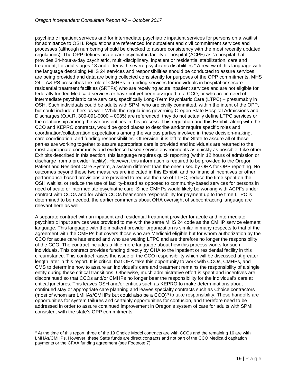psychiatric inpatient services and for intermediate psychiatric inpatient services for persons on a waitlist for admittance to OSH. Regulations are referenced for outpatient and civil commitment services and processes (although numbering should be checked to assure consistency with the most recently updated regulations). The OPP defines acute care psychiatric facility or hospital (ACPF) as "a hospital that provides 24-hour-a-day psychiatric, multi-disciplinary, inpatient or residential stabilization, care and treatment, for adults ages 18 and older with severe psychiatric disabilities." A review of this language with the language describing MHS 24 services and responsibilities should be conducted to assure services are being provided and data are being collected consistently for purposes of the OPP commitments. MHS 24 – A&IPS prescribes the role of CMHPs in funding services for individuals in hospital or secure residential treatment facilities (SRTFs) who are receiving acute inpatient services and are not eligible for federally funded Medicaid services or have not yet been assigned to a CCO, or who are in need of intermediate psychiatric care services, specifically Long-Term Psychiatric Care (LTPC) – presumably in OSH. Such individuals could be adults with SPMI who are civilly committed, within the intent of the OPP, but could include others as well. While the regulations governing Oregon State Hospital Admissions and Discharges (O.A.R. 309-091-0000 – 0035) are referenced, they do not actually define LTPC services or the relationship among the various entities in this process. This regulation and this Exhibit, along with the CCO and KEPRO contracts, would be good places to describe and/or require specific roles and coordination/collaboration expectations among the various parties involved in these decision-making, care coordination, and funding responsibilities. Otherwise, it is left to the State to assure all of these parties are working together to assure appropriate care is provided and individuals are returned to the most appropriate community and evidence-based service environments as quickly as possible. Like other Exhibits described in this section, this language requires quick reporting (within 12 hours of admission or discharge from a provider facility). However, this information is required to be provided to the Oregon Patient and Resident Care System, a system different than the ones used by OHA for OPP reporting. No outcomes beyond these two measures are indicated in this Exhibit, and no financial incentives or other performance-based provisions are provided to reduce the use of LTPC, reduce the time spent on the OSH waitlist, or reduce the use of facility-based as opposed to community-based services for persons in need of acute or intermediate psychiatric care. Since CMHPs would likely be working with ACPFs under contract with CCOs and for which CCOs bear some responsibility for payment up to the time LTPC is determined to be needed, the earlier comments about OHA oversight of subcontracting language are relevant here as well.

A separate contract with an inpatient and residential treatment provider for acute and intermediate psychiatric input services was provided to me with the same MHS 24 code as the CMHP service element language. This language with the inpatient provider organization is similar in many respects to that of the agreement with the CMHPs but covers those who are Medicaid eligible but for whom authorization by the CCO for acute care has ended and who are waiting LTPC and are therefore no longer the responsibility of the CCO. The contract includes a little more language about how this process works for such individuals. This contract provides funding directly by OHA to the inpatient or residential facility in this circumstance. This contract raises the issue of the CCO responsibility which will be discussed at greater length later in this report. It is critical that OHA take this opportunity to work with CCOs, CMHPs, and CMS to determine how to assure an individual's care and treatment remains the responsibility of a single entity during these critical transitions. Otherwise, much administrative effort is spent and incentives are discontinued so that CCOs and/or CMHPs no longer bear the responsibility for the individual's care at critical junctures. This leaves OSH and/or entities such as KEPRO to make determinations about continued stay or appropriate care planning and leaves specialty contracts such as Choice contractors (most of whom are LMHAs/CMHPs but could also be a  $CCO$ )<sup>[9](#page-18-0)</sup> to take responsibility. These handoffs are opportunities for system failures and certainly opportunities for confusion, and therefore need to be addressed in order to assure continued improvement in Oregon's system of care for adults with SPMI consistent with the state's OPP commitments.

<span id="page-18-0"></span><sup>&</sup>lt;sup>9</sup> At the time of this report, three of the 19 Choice Model contracts are with CCOs and the remaining 16 are with LMHAs/CMHPs. However, these State funds are direct contracts and not part of the CCO Medicaid capitation payments or the CFAA funding agreement (see Footnote 7).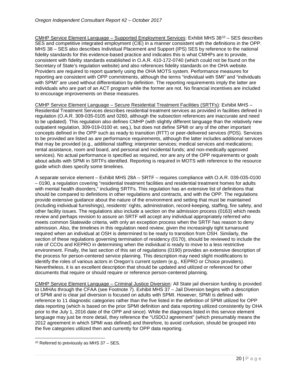CMHP Service Element Language – Supported Employment Services: Exhibit MHS 38[10](#page-19-0) – SES describes SES and competitive integrated employment (CIE) in a manner consistent with the definitions in the OPP. MHS 38 – SES also describes Individual Placement and Support (IPS) SES by reference to the national fidelity standards for this evidence-based practice and indicates this is what CMHPs are to provide, consistent with fidelity standards established in O.A.R. 410-172-0740 (which could not be found on the Secretary of State's regulation website) and also references fidelity standards on the OHA website. Providers are required to report quarterly using the OHA MOTS system. Performance measures for reporting are consistent with OPP commitments, although the terms "individual with SMI" and "individuals with SPMI" are used without differentiation by definition. The reporting requirements imply the latter are individuals who are part of an ACT program while the former are not. No financial incentives are included to encourage improvements on these measures.

CMHP Service Element Language – Secure Residential Treatment Facilities (SRTFs): Exhibit MHS – Residential Treatment Services describes residential treatment services as provided in facilities defined in regulation (O.A.R. 309-035-0105 and 0260, although the subsection references are inaccurate and need to be updated). This regulation also defines CMHP (with slightly different language than the relatively new outpatient regulation, 309-019-0100 et. seq.), but does not define SPMI or any of the other important concepts defined in the OPP such as ready to transition (RTT) or peer-delivered services (PDS). Services to be provided are listed as are performance requirements, although the latter includes additional services that may be provided (e.g., additional staffing; interpreter services; medical services and medications; rental assistance, room and board, and personal and incidental funds; and non-medically approved services). No actual performance is specified as required, nor are any of the OPP requirements or goals about adults with SPMI in SRTFs identified. Reporting is required in MOTS with reference to the resource guide which does specify some timelines.

A separate service element – Exhibit MHS 28A – SRTF – requires compliance with O.A.R. 039-035-0100 – 0190, a regulation covering "residential treatment facilities and residential treatment homes for adults with mental health disorders," including SRTFs. This regulation has an extensive list of definitions that should be compared to definitions in other regulations and contracts, and with the OPP. The regulations provide extensive guidance about the nature of the environment and setting that must be maintained (including individual furnishings), residents' rights, administration, record-keeping, staffing, fire safety, and other facility issues. The regulations also include a section on the admission process (0163) which needs review and perhaps revision to assure an SRTF will accept any individual appropriately referred who meets common Statewide criteria, with only an exception process when the SRTF has reason to deny admission. Also, the timelines in this regulation need review, given the increasingly tight turnaround required when an individual at OSH is determined to be ready to transition from OSH. Similarly, the section of these regulations governing termination of residency (0170), should be reviewed to include the role of CCOs and KEPRO in determining when the individual is ready to move to a less restrictive environment. Finally, the last section of this set of regulations (0190) provides an extensive description of the process for person-centered service planning. This description may need slight modifications to identify the roles of various actors in Oregon's current system (e.g., KEPRO or Choice providers). Nevertheless, it is an excellent description that should be updated and utilized or referenced for other documents that require or should require or reference person-centered planning.

CMHP Service Element Language – Criminal Justice Diversion: All State jail diversion funding is provided to LMHAs through the CFAA (see Footnote 7). Exhibit MHS 37 – Jail Diversion begins with a description of SPMI and is clear jail diversion is focused on adults with SPMI. However, SPMI is defined with reference to 11 diagnostic categories rather than the five listed in the definition of SPMI utilized for OPP data reporting (which is based on the prior SPMI definition and data reporting utilized consistently by OHA prior to the July 1, 2016 date of the OPP and since). While the diagnoses listed in this service element language may just be more detail, they reference the "USDOJ agreement" (which presumably means the 2012 agreement in which SPMI was defined) and therefore, to avoid confusion, should be grouped into the five categories utilized then and currently for OPP data reporting.

<span id="page-19-0"></span> $10$  Referred to previously as MHS 37 - SES.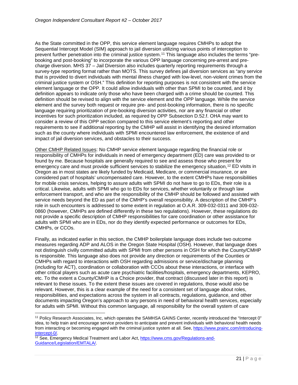As the State committed in the OPP, this service element language requires CMHPs to adopt the Sequential Intercept Model (SIM) approach to jail diversion utilizing various points of interception to prevent further penetration into the criminal justice system[.11](#page-20-0) This language also includes the terms "prebooking and post-booking" to incorporate the various OPP language concerning pre-arrest and precharge diversion. MHS 37 – Jail Diversion also includes quarterly reporting requirements through a survey-type reporting format rather than MOTS. This survey defines jail diversion services as "any service that is provided to divert individuals with mental illness charged with low-level, non-violent crimes from the criminal justice system or OSH." This definition for reporting purposes is not consistent with the service element language or the OPP. It could allow individuals with other than SPMI to be counted, and it by definition appears to indicate only those who have been charged with a crime should be counted. This definition should be revised to align with the service element and the OPP language. While the service element and the survey both request or require pre- and post-booking information, there is no specific language requiring prioritization of pre-booking diversion activities, nor are any financial or other incentives for such prioritization included, as required by OPP Subsection D.52.f. OHA may want to consider a review of this OPP section compared to this service element's reporting and other requirements to see if additional reporting by the CMHP will assist in identifying the desired information such as the county where individuals with SPMI encountered law enforcement, the existence of and impact of jail diversion services, and obstacles to their success.

Other CMHP Related Issues: No CMHP service element language regarding the financial role or responsibility of CMHPs for individuals in need of emergency department (ED) care was provided to or found by me. Because hospitals are generally required to see and assess those who present for emergency care and must provide sufficient services to stabilize the emergency situation,<sup>[12](#page-20-1)</sup> ED visits in Oregon as in most states are likely funded by Medicaid, Medicare, or commercial insurance, or are considered part of hospitals' uncompensated care. However, to the extent CMHPs have responsibilities for mobile crisis services, helping to assure adults with SPMI do not have to go to EDs, their role is a critical. Likewise, adults with SPMI who go to EDs for services, whether voluntarily or through law enforcement transport, and who are the responsibility of the CMHP should be followed and assisted with service needs beyond the ED as part of the CMHP's overall responsibility. A description of the CMHP's role in such encounters is addressed to some extent in regulation at O.A.R. 309-032-0311 and 309-032- 0860 (however, CMHPs are defined differently in these two regulations). However, these regulations do not provide a specific description of CMHP responsibilities for care coordination or other assistance for adults with SPMI who are in EDs, nor do they identify expected performance or outcomes for EDs, CMHPs, or CCOs.

Finally, as indicated earlier in this section, the CMHP boilerplate language does include two outcome measures regarding ADP and ALOS in the Oregon State Hospital (OSH). However, that language does not distinguish civilly committed adults with SPMI from other persons in OSH for which the County/CMHP is responsible. This language also does not provide any direction or requirements of the Counties or CMHPs with regard to interactions with OSH regarding admissions or service/discharge planning (including for ACT), coordination or collaboration with CCOs about these interactions, or interface with other critical players such as acute care psychiatric facilities/hospitals, emergency departments, KEPRO, etc. To the extent a County/CMHP is a Choice provider, that contract (discussed later in this report) is relevant to these issues. To the extent these issues are covered in regulations, those would also be relevant. However, this is a clear example of the need for a consistent set of language about roles, responsibilities, and expectations across the system in all contracts, regulations, guidance, and other documents impacting Oregon's approach to any persons in need of behavioral health services, especially for adults with SPMI. Without this common language, all responsibility for the overall system of care

<span id="page-20-0"></span> <sup>11</sup> Policy Research Associates, Inc, which operates the SAMHSA GAINS Center, recently introduced the "Intercept 0" idea, to help train and encourage service providers to anticipate and prevent individuals with behavioral health needs from interacting or becoming engaged with the criminal justice system at all. See, [https://www.prainc.com/introducing](https://www.prainc.com/introducing-intercept-0/)[intercept-0/.](https://www.prainc.com/introducing-intercept-0/)<br><sup>12</sup> See, Emergency Medical Treatment and Labor Act, [https://www.cms.gov/Regulations-and-](https://www.cms.gov/Regulations-and-Guidance/Legislation/EMTALA/)

<span id="page-20-1"></span>[Guidance/Legislation/EMTALA/.](https://www.cms.gov/Regulations-and-Guidance/Legislation/EMTALA/)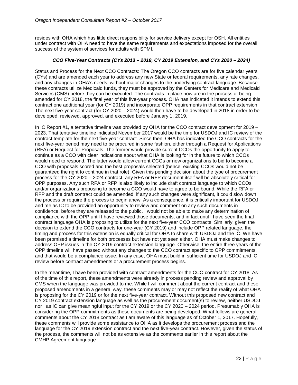resides with OHA which has little direct responsibility for service delivery except for OSH. All entities under contract with OHA need to have the same requirements and expectations imposed for the overall success of the system of services for adults with SPMI.

### *CCO Five-Year Contracts (CYs 2013 – 2018, CY 2019 Extension, and CYs 2020 – 2024)*

Status and Process for the Next CCO Contracts: The Oregon CCO contracts are for five calendar years (CYs) and are amended each year to address any new State or federal requirements, any rate changes, and any changes in OHA's needs, without major changes to the underlying contract language. Because these contracts utilize Medicaid funds, they must be approved by the Centers for Medicare and Medicaid Services (CMS) before they can be executed. The contracts in place now are in the process of being amended for CY 2018, the final year of this five-year process. OHA has indicated it intends to extend this contract one additional year (for CY 2019) and incorporate OPP requirements in that contract extension. The next five-year contract (for CY 2020 – 2024) would then have to be developed in 2018 in order to be developed, reviewed, approved, and executed before January 1, 2019.

In IC Report #1, a tentative timeline was provided by OHA for the CCO contract development for 2019 – 2023. That tentative timeline indicated November 2017 would be the time for USDOJ and IC review of the contract template for the next five-year contract. Since then, OHA has indicated the CCO contracts for the next five-year period may need to be procured in some fashion, either through a Request for Applications (RFA) or Request for Proposals. The former would provide current CCOs the opportunity to apply to continue as a CCO with clear indications about what OHA is looking for in the future to which CCOs would need to respond. The latter would allow current CCOs or new organizations to bid to become a CCO with proposals scored and the best proposals selected (hence, existing CCOs would not be guaranteed the right to continue in that role). Given this pending decision about the type of procurement process for the CY 2020 – 2024 contract, any RFA or RFP document itself will be absolutely critical for OPP purposes. Any such RFA or RFP is also likely to include draft contract language to which CCOs and/or organizations proposing to become a CCO would have to agree to be bound. While the RFA or RFP and the draft contract could be amended, if any such changes were significant, it could slow down the process or require the process to begin anew. As a consequence, it is critically important for USDOJ and me as IC to be provided an opportunity to review and comment on any such documents in confidence, before they are released to the public. I would not be able to make any determination of compliance with the OPP until I have reviewed those documents, and in fact until I have seen the final contract language OHA is proposing to utilize for the next five-year CCO contracts. Similarly, given the decision to extend the CCO contracts for one-year (CY 2019) and include OPP related language, the timing and process for this extension is equally critical for OHA to share with USDOJ and the IC. We have been promised a timeline for both processes but have not yet seen either. OHA must make changes to address OPP issues in the CY 2019 contract extension language. Otherwise, the entire three years of the OPP timeline will have passed without any changes to the CCO contract specific to OPP commitments, and that would be a compliance issue. In any case, OHA must build in sufficient time for USDOJ and IC review before contract amendments or a procurement process begins.

In the meantime, I have been provided with contract amendments for the CCO contract for CY 2018. As of the time of this report, these amendments were already in process pending review and approval by CMS when the language was provided to me. While I will comment about the current contract and these proposed amendments in a general way, these comments may or may not reflect the reality of what OHA is proposing for the CY 2019 or for the next five-year contract. Without this proposed new contract and CY 2019 contract extension language as well as the procurement document(s) to review, neither USDOJ nor I as IC can give meaningful input for the CY 2019 or the CY 2020 – 2024 period. Presumably OHA is considering the OPP commitments as these documents are being developed. What follows are general comments about the CY 2018 contract as I am aware of this language as of October 1, 2017. Hopefully, these comments will provide some assistance to OHA as it develops the procurement process and the language for the CY 2019 extension contract and the next five-year contract. However, given the status of the process, the comments will not be as extensive as the comments earlier in this report about the CMHP Agreement language.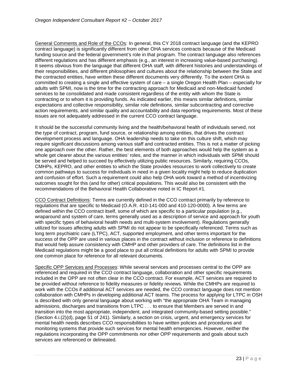General Comments and Role of the CCOs: In general, this CY 2018 contract language (and the KEPRO contract language) is significantly different from other OHA services contracts because of the Medicaid funding source and the federal government's role in that program. The contract language also references different regulations and has different emphasis (e.g., an interest in increasing value-based purchasing). It seems obvious from the language that different OHA staff, with different histories and understandings of their responsibilities, and different philosophies and cultures about the relationship between the State and the contracted entities, have written these different documents very differently. To the extent OHA is committed to creating a single and effective system of care – a single Oregon Health Plan – especially for adults with SPMI, now is the time for the contracting approach for Medicaid and non-Medicaid funded services to be consolidated and made consistent regardless of the entity with whom the State is contracting or to whom it is providing funds. As indicated earlier, this means similar definitions, similar expectations and collective responsibility, similar role definitions, similar subcontracting and corrective action requirements, and similar quality and accountability and data reporting requirements. Most of these issues are not adequately addressed in the current CCO contract language.

It should be the successful community living and the health/behavioral health of individuals served, not the type of contract, program, fund source, or relationship among entities, that drives the contract development process and language. OHA leadership needs to take on this culture shift, which may require significant discussions among various staff and contracted entities. This is not a matter of picking one approach over the other. Rather, the best elements of both approaches would help the system as a whole get clearer about the various entities' roles, and the manner in which individuals with SPMI should be served and helped to succeed by effectively utilizing public resources. Similarly, requiring CCOs, CMHPs, KEPRO, and other entities to which the State provides resources to work collectively to create common pathways to success for individuals in need in a given locality might help to reduce duplication and confusion of effort. Such a requirement could also help OHA work toward a method of incentivizing outcomes sought for this (and for other) critical populations. This would also be consistent with the recommendations of the Behavioral Health Collaborative noted in IC Report #1.

CCO Contract Definitions: Terms are currently defined in the CCO contract primarily by reference to regulations that are specific to Medicaid (O.A.R. 410-141-000 and 410-120-0000). A few terms are defined within the CCO contract itself, some of which are specific to a particular population (e.g., wraparound and system of care, terms generally used as a description of service and approach for youth with specific types of behavioral health needs and multi-system involvement). Regulations generally utilized for issues affecting adults with SPMI do not appear to be specifically referenced. Terms such as long term psychiatric care (LTPC), ACT, supported employment, and other terms important for the success of the OPP are used in various places in the contract without inclusion or reference to definitions that would help assure consistency with CMHP and other providers of care. The definitions list in the Medicaid regulations might be a good place to put all critical definitions for adults with SPMI to provide one common place for reference for all relevant documents.

Specific OPP Services and Processes: While several services and processes central to the OPP are referenced and required in the CCO contract language, collaboration and other specific requirements included in the OPP are not often clear in the CCO contract. For example, ACT services are required to be provided without reference to fidelity measures or fidelity reviews. While the CMHPs are required to work with the CCOs if additional ACT services are needed, the CCO contract language does not mention collaboration with CMHPs in developing additional ACT teams. The process for applying for LTPC in OSH is described with only general language about working with "the appropriate OHA Team in managing admissions, discharges and transitions from LTPC . . . to ensure that Members are served in and transition into the most appropriate, independent, and integrated community-based setting possible." (Section 4.i.(2)(d), page 51 of 241). Similarly, a section on crisis, urgent, and emergency services for mental health needs describes CCO responsibilities to have written policies and procedures and monitoring systems that provide such services for mental health emergencies. However, neither the regulations incorporating the OPP commitments nor other OPP requirements and goals about such services are referenced or delineated.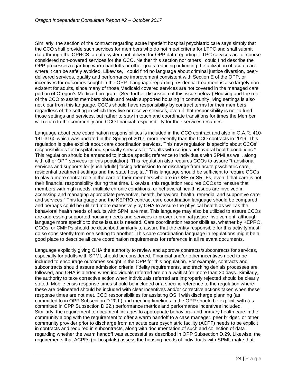Similarly, the section of the contract regarding acute inpatient hospital psychiatric care says simply that the CCO shall provide such services for members who do not meet criteria for LTPC and shall submit data through the OPRCS, a data system not utilized for OPP data reporting. LTPC services are of course considered non-covered services for the CCO. Neither this section nor others I could find describe the OPP processes regarding warm handoffs or other goals reducing or limiting the utilization of acute care where it can be safely avoided. Likewise, I could find no language about criminal justice diversion, peerdelivered services, quality and performance improvement consistent with Section E of the OPP, or incentives for outcomes sought in the OPP. Language regarding residential treatment is also largely nonexistent for adults, since many of those Medicaid covered services are not covered in the managed care portion of Oregon's Medicaid program. (See further discussion of this issue below.) Housing and the role of the CCO to assist members obtain and retain supported housing in community living settings is also not clear from this language. CCOs should have responsibility by contract terms for their members regardless of the setting in which they live or receive services, even if that responsibility is not to fund those settings and services, but rather to stay in touch and coordinate transitions for times the Member will return to the community and CCO financial responsibility for their services resumes.

Language about care coordination responsibilities is included in the CCO contract and also in O.A.R. 410- 141-3160 which was updated in the Spring of 2017, more recently than the CCO contracts in 2016. This regulation is quite explicit about care coordination services. This new regulation is specific about CCOs' responsibilities for hospital and specialty services for "adults with serious behavioral health conditions." This regulation should be amended to include specific reference to individuals with SPMI as well, along with other OPP services for this population). This regulation also requires CCOs to assure "transitional services and supports for [such adults] facing admission to or discharge from acute psychiatric care, residential treatment settings and the state hospital." This language should be sufficient to require CCOs to play a more central role in the care of their members who are in OSH or SRTFs, even if that care is not their financial responsibility during that time. Likewise, this regulation requires CCOs to "ensure that members with high needs, multiple chronic conditions, or behavioral health issues are involved in accessing and managing appropriate preventive, health, behavioral health, remedial and supportive care and services." This language and the KEPRO contract care coordination language should be compared and perhaps could be utilized more extensively by OHA to assure the physical health as well as the behavioral health needs of adults with SPMI are met. This language may also be utilized to assure CCOs are addressing supported housing needs and services to prevent criminal justice involvement, although language more specific to those issues is needed. Care coordination responsibilities, whether by KEPRO, CCOs, or CMHPs should be described similarly to assure that the entity responsible for this activity must do so consistently from one setting to another. This care coordination language in regulations might be a good place to describe all care coordination requirements for reference in all relevant documents.

Language explicitly giving OHA the authority to review and approve contracts/subcontracts for services, especially for adults with SPMI, should be considered. Financial and/or other incentives need to be included to encourage outcomes sought in the OPP for this population. For example, contracts and subcontracts should assure admission criteria, fidelity requirements, and tracking denials processes are followed, and OHA is alerted when individuals referred are on a waitlist for more than 30 days. Similarly, the authority to take corrective action when individuals referred are improperly rejected should be clearly stated. Mobile crisis response times should be included or a specific reference to the regulation where these are delineated should be included with clear incentives and/or corrective actions taken when these response times are not met. CCO responsibilities for assisting OSH with discharge planning (as committed to in OPP Subsection D.20.f.) and meeting timelines in the OPP should be explicit, with (as committed in OPP Subsection D.22.) performance metrics and performance incentives included. Similarly, the requirement to document linkages to appropriate behavioral and primary health care in the community along with the requirement to offer a warm handoff to a case manager, peer bridger, or other community provider prior to discharge from an acute care psychiatric facility (ACPF) needs to be explicit in contracts and required in subcontracts, along with documentation of such and collection of data regarding whether the warm handoff was successful as described in OPP Subsection D.29. Likewise, the requirements that ACPFs (or hospitals) assess the housing needs of individuals with SPMI, make that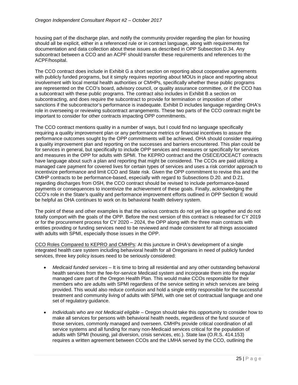housing part of the discharge plan, and notify the community provider regarding the plan for housing should all be explicit, either in a referenced rule or in contract language, along with requirements for documentation and data collection about these issues as described in OPP Subsection D.34. Any subcontract between a CCO and an ACPF should transfer these requirements and references to the ACPF/hospital.

The CCO contract does include in Exhibit G a short section on reporting about cooperative agreements with publicly funded programs, but it simply requires reporting about MOUs in place and reporting about involvement with local mental health authorities or CMHPs, specifically whether these public programs are represented on the CCO's board, advisory council, or quality assurance committee, or if the CCO has a subcontract with these public programs. The contract also includes in Exhibit B a section on subcontracting, and does require the subcontract to provide for termination or imposition of other sanctions if the subcontractor's performance is inadequate. Exhibit D includes language regarding OHA's role in overseeing or reviewing subcontract arrangements. These two parts of the CCO contract might be important to consider for other contracts impacting OPP commitments.

The CCO contract mentions quality in a number of ways, but I could find no language specifically requiring a quality improvement plan or any performance metrics or financial incentives to assure the performance outcomes sought by the OPP commitments will be achieved. OHA should consider requiring a quality improvement plan and reporting on the successes and barriers encountered. This plan could be for services in general, but specifically to include OPP services and measures or specifically for services and measures in the OPP for adults with SPMI. The KEPRO contract and the OSECE/OCEACT contracts have language about such a plan and reporting that might be considered. The CCOs are paid utilizing a managed care payment for covered lives for certain types of services and uses a risk corridor approach to incentivize performance and limit CCO and State risk. Given the OPP commitment to revise this and the CMHP contracts to be performance-based, especially with regard to Subsections D.20. and D.21. regarding discharges from OSH, the CCO contract should be revised to include performance-based payments or consequences to incentivize the achievement of these goals. Finally, acknowledging the CCO's role in the State's quality and performance improvement efforts outlined in OPP Section E would be helpful as OHA continues to work on its behavioral health delivery system.

The point of these and other examples is that the various contracts do not yet line up together and do not totally comport with the goals of the OPP. Before the next version of this contract is released for CY 2019 or for the procurement process for CY 2020 – 2024, the OPP along with the three main contracts with entities providing or funding services need to be reviewed and made consistent for all things associated with adults with SPMI, especially those issues in the OPP.

CCO Roles Compared to KEPRO and CMHPs: At this juncture in OHA's development of a single integrated health care system including behavioral health for all Oregonians in need of publicly funded services, three key policy issues need to be seriously considered:

- *Medicaid funded services* It is time to bring all residential and any other outstanding behavioral health services from the fee-for-service Medicaid system and incorporate them into the regular managed care part of the Oregon Health Plan. This would make CCOs responsible for their members who are adults with SPMI regardless of the service setting in which services are being provided. This would also reduce confusion and hold a single entity responsible for the successful treatment and community living of adults with SPMI, with one set of contractual language and one set of regulatory guidance.
- *Individuals who are not Medicaid eligible* Oregon should take this opportunity to consider how to make all services for persons with behavioral health needs, regardless of the fund source of those services, commonly managed and overseen. CMHPs provide critical coordination of all service systems and all funding for many non-Medicaid services critical for the population of adults with SPMI (housing, jail diversion, crisis services, etc.). State law (O.R.S. 414.153) requires a written agreement between CCOs and the LMHA served by the CCO, outlining the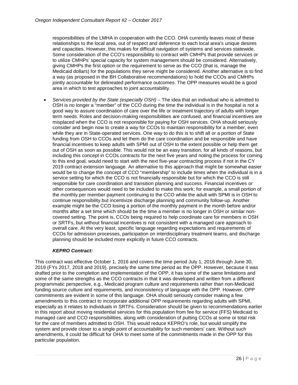responsibilities of the LMHA in cooperation with the CCO. OHA currently leaves most of these relationships to the local area, out of respect and deference to each local area's unique desires and capacities. However, this makes for difficult navigation of systems and services statewide. Some consideration of the CCO's responsibility to contract with CMHPs that provide services or to utilize CMHPs' special capacity for system management should be considered. Alternatively, giving CMHPs the first option or the requirement to serve as the CCO (that is, manage the Medicaid dollars) for the populations they serve might be considered. Another alternative is to find a way (as proposed in the BH Collaborative recommendations) to hold the CCOs and CMHPs jointly accountable for delineated performance outcomes. The OPP measures would be a good area in which to test approaches to joint accountability.

• *Services provided by the State (especially OSH)* – The idea that an individual who is admitted to OSH is no longer a "member" of the CCO during the time the individual is in the hospital is not a good way to assure coordination of care over the life or treatment trajectory of adults with longer term needs. Roles and decision-making responsibilities are confused, and financial incentives are misplaced when the CCO is not responsible for paying for OSH services. OHA should seriously consider and begin now to create a way for CCOs to maintain responsibility for a member, even while they are in State-operated services. One way to do this is to shift all or a portion of State funding from OSH to CCOs and let them do the care coordination and be responsible and have financial incentives to keep adults with SPMI out of OSH to the extent possible or help them get out of OSH as soon as possible. This would not be an easy transition, for all kinds of reasons, but including this concept in CCOs contracts for the next five years and noting the process for coming to this end goal, would need to start with the next five-year contracting process if not in the CY 2019 contract extension language. An alternative to this approach that might be somewhat easier would be to change the concept of CCO "membership" to include times when the individual is in a service setting for which the CCO is not financially responsible but for which the CCO is still responsible for care coordination and transition planning and success. Financial incentives or other consequences would need to be included to make this work; for example, a small portion of the monthly per member payment continuing to the CCO while the adult with SPMI is in OSH to continue responsibility but incentivize discharge planning and community follow-up. Another example might be the CCO losing a portion of the monthly payment in the month before and/or months after a set time which should be the time a member is no longer in OSH or similar noncovered setting. The point is, CCOs being required to help coordinate care for members in OSH or SRTFs, but without financial incentives is not consistent with a managed care approach to overall care. At the very least, specific language regarding expectations and requirements of CCOs for admission processes, participation on interdisciplinary treatment teams, and discharge planning should be included more explicitly in future CCO contracts.

# *KEPRO Contract:*

This contract was effective October 1, 2016 and covers the time period July 1, 2016 through June 30, 2019 (FYs 2017, 2018 and 2019), precisely the same time period as the OPP. However, because it was drafted prior to the completion and implementation of the OPP, it has some of the same limitations and some of the same strengths as the CCO contracts in that it was developed and written from a different programmatic perspective, e.g., Medicaid program culture and requirements rather than non-Medicaid funding source culture and requirements, and inconsistency of language with the OPP. However, OPP commitments are evident in some of this language. OHA should seriously consider making a few amendments to this contract to incorporate additional OPP requirements regarding adults with SPMI, especially as it relates to individuals in SRTFs. Consideration should be given to recommendations earlier in this report about moving residential services for this population from fee for service (FFS) Medicaid to managed care and CCO responsibilities, along with consideration of putting CCOs at some or total risk for the care of members admitted to OSH. This would reduce KEPRO's role, but would simplify the system and provide closer to a single point of accountability for such members' care. Without such amendments, it could be difficult for OHA to meet some of the commitments made in the OPP for this particular population.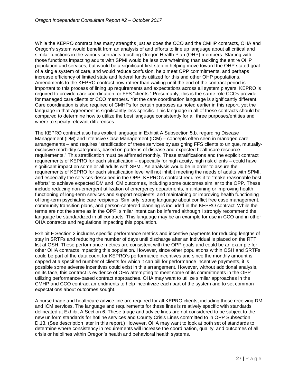While the KEPRO contract has many strengths just as does the CCO and the CMHP contracts, OHA and Oregon's system would benefit from an analysis of and efforts to line up language about all critical and similar functions in the various contracts touching Oregon Health Plan (OHP) members. Starting with those functions impacting adults with SPMI would be less overwhelming than tackling the entire OHP population and services, but would be a significant first step in helping move toward the OHP stated goal of a single system of care, and would reduce confusion, help meet OPP commitments, and perhaps increase efficiency of limited state and federal funds utilized for this and other OHP populations. Amendments to the KEPRO contract now rather than waiting until the end of the contract period is important to this process of lining up requirements and expectations across all system players. KEPRO is required to provide care coordination for FFS "clients." Presumably, this is the same role CCOs provide for managed care clients or CCO members. Yet the care coordination language is significantly different. Care coordination is also required of CMHPs for certain purposes as noted earlier in this report, yet the language in that Agreement is significantly less specific. This language in all of these contracts should be compared to determine how to utilize the best language consistently for all three purposes/entities and where to specify relevant differences.

The KEPRO contract also has explicit language in Exhibit A Subsection 5.b. regarding Disease Management (DM) and Intensive Case Management (ICM) – concepts often seen in managed care arrangements – and requires "stratification of these services by assigning FFS clients to unique, mutuallyexclusive morbidity categories, based on patterns of disease and expected healthcare resource requirements." This stratification must be affirmed monthly. These stratifications and the explicit contract requirements of KEPRO for each stratification – especially for high acuity, high risk clients – could have significant impact on some or all adults with SPMI. An analysis would be in order to assure the requirements of KEPRO for each stratification level will not inhibit meeting the needs of adults with SPMI, and especially the services described in the OPP. KEPRO's contract requires it to "make reasonable best efforts" to achieve expected DM and ICM outcomes, including some outcomes similar to the OPP. These include reducing non-emergent utilization of emergency departments, maintaining or improving health functioning of long-term services and support recipients, and maintaining or improving health functioning of long-term psychiatric care recipients. Similarly, strong language about conflict free case management, community transition plans, and person-centered planning is included in the KEPRO contract. While the terms are not the same as in the OPP, similar intent can be inferred although I strongly recommend the language be standardized in all contracts. This language may be an example for use in CCO and in other OHA contracts and regulations impacting this population.

Exhibit F Section 2 includes specific performance metrics and incentive payments for reducing lengths of stay in SRTFs and reducing the number of days until discharge after an individual is placed on the RTT list at OSH. These performance metrics are consistent with the OPP goals and could be an example for other OHA contracts impacting this population. However, since other populations within OSH and SRTFs could be part of the data count for KEPRO's performance incentives and since the monthly amount is capped at a specified number of clients for which it can bill for performance incentive payments, it is possible some adverse incentives could exist in this arrangement. However, without additional analysis, on its face, this contract is evidence of OHA attempting to meet some of its commitments in the OPP utilizing performance-based contract approaches. OHA may want to utilize similar approaches in the CMHP and CCO contract amendments to help incentivize each part of the system and to set common expectations about outcomes sought.

A nurse triage and healthcare advice line are required for all KEPRO clients, including those receiving DM and ICM services. The language and requirements for these lines is relatively specific with standards delineated at Exhibit A Section 6. These triage and advice lines are not considered to be subject to the new uniform standards for hotline services and County Crisis Lines committed to in OPP Subsection D.13. (See description later in this report.) However, OHA may want to look at both set of standards to determine where consistency in requirements will increase the coordination, quality, and outcomes of all crisis or helplines within Oregon's health and behavioral health systems.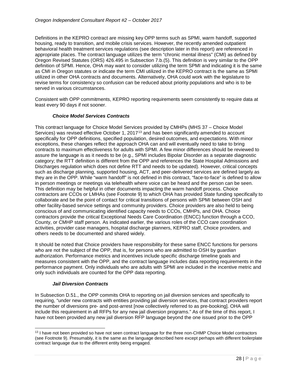Definitions in the KEPRO contract are missing key OPP terms such as SPMI, warm handoff, supported housing, ready to transition, and mobile crisis services. However, the recently amended outpatient behavioral health treatment services regulations (see description later in this report) are referenced in appropriate places. The contract language utilizes the term "chronic mental illness" (CMI) as defined by Oregon Revised Statutes (ORS) 426.495 in Subsection 7.b.(5). This definition is very similar to the OPP definition of SPMI. Hence, OHA may want to consider utilizing the term SPMI and indicating it is the same as CMI in Oregon statutes or indicate the term CMI utilized in the KEPRO contract is the same as SPMI utilized in other OHA contracts and documents. Alternatively, OHA could work with the legislature to revise terms for consistency so confusion can be reduced about priority populations and who is to be served in various circumstances.

Consistent with OPP commitments, KEPRO reporting requirements seem consistently to require data at least every 90 days if not sooner.

### *Choice Model Services Contracts*

This contract language for Choice Model Services provided by CMHPs (MHS 37 – Choice Model Services) was revised effective October 1, 2017<sup>[13](#page-27-0)</sup> and has been significantly amended to account specifically for OPP definitions, specified population, desired outcomes, and expectations. With minor exceptions, these changes reflect the approach OHA can and will eventually need to take to bring contracts to maximum effectiveness for adults with SPMI. A few minor differences should be reviewed to assure the language is as it needs to be (e.g., SPMI includes Bipolar Disorder as a separate diagnostic category; the RTT definition is different from the OPP and references the State Hospital Admissions and Discharges regulation which does not define RTT and needs to be updated). However, critical concepts such as discharge planning, supported housing, ACT, and peer-delivered services are defined largely as they are in the OPP. While "warm handoff" is not defined in this contract, "face-to-face" is defined to allow in person meetings or meetings via telehealth where voice can be heard and the person can be seen. This definition may be helpful in other documents impacting the warm handoff process. Choice contractors are CCOs or LMHAs (see Footnote 9) to which OHA has provided State funding specifically to collaborate and be the point of contact for critical transitions of persons with SPMI between OSH and other facility-based service settings and community providers. Choice providers are also held to being conscious of and communicating identified capacity needs to CCOs, CMHPs, and OHA. Choice contractors provide the critical Exceptional Needs Care Coordination (ENCC) function through a CCO, County, or CMHP staff person. As indicated earlier, the various roles of the CCO care coordination activities, provider case managers, hospital discharge planners, KEPRO staff, Choice providers, and others needs to be documented and shared widely.

It should be noted that Choice providers have responsibility for these same ENCC functions for persons who are not the subject of the OPP, that is, for persons who are admitted to OSH by guardian authorization. Performance metrics and incentives include specific discharge timeline goals and measures consistent with the OPP, and the contract language includes data reporting requirements in the performance payment. Only individuals who are adults with SPMI are included in the incentive metric and only such individuals are counted for the OPP data reporting.

#### *Jail Diversion Contracts*

In Subsection D.51., the OPP commits OHA to reporting on jail diversion services and specifically to requiring, "under new contracts with entities providing jail diversion services, that contract providers report the number of diversions pre- and post-arrest [now collectively referred to as pre-booking]. OHA will include this requirement in all RFPs for any new jail diversion programs." As of the time of this report, I have not been provided any new jail diversion RFP language beyond the one issued prior to the OPP

<span id="page-27-0"></span><sup>&</sup>lt;sup>13</sup> I have not been provided so have not seen contract language for the three non-CHMP Choice Model contractors (see Footnote 9). Presumably, it is the same as the language described here except perhaps with different boilerplate contract language due to the different entity being engaged.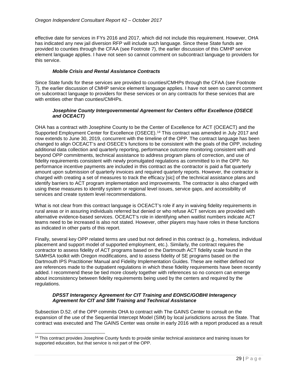effective date for services in FYs 2016 and 2017, which did not include this requirement. However, OHA has indicated any new jail diversion RFP will include such language. Since these State funds are provided to counties through the CFAA (see Footnote 7), the earlier discussion of this CMHP service element language applies. I have not seen so cannot comment on subcontract language to providers for this service.

#### *Mobile Crisis and Rental Assistance Contracts*

Since State funds for these services are provided to counties/CMHPs through the CFAA (see Footnote 7), the earlier discussion of CMHP service element language applies. I have not seen so cannot comment on subcontract language to providers for these services or on any contracts for these services that are with entities other than counties/CMHPs.

#### *Josephine County Intergovernmental Agreement for Centers of/for Excellence (OSECE and OCEACT)*

OHA has a contract with Josephine County to be the Center of Excellence for ACT (OCEACT) and the Supported Employment Center for Excellence (OSECE).[14](#page-28-0) This contract was amended in July 2017 and now extends to June 30, 2019, concurrent with the timeline of the OPP. The contract language has been changed to align OCEACT's and OSECE's functions to be consistent with the goals of the OPP, including additional data collection and quarterly reporting, performance outcome monitoring consistent with and beyond OPP commitments, technical assistance to address program plans of correction, and use of fidelity requirements consistent with newly promulgated regulations as committed to in the OPP. No performance incentive payments are included in this contract as the contractor is paid a flat quarterly amount upon submission of quarterly invoices and required quarterly reports. However, the contractor is charged with creating a set of measures to track the efficacy [sic] of the technical assistance plans and identify barriers to ACT program implementation and improvements. The contractor is also charged with using these measures to identify system or regional level issues, service gaps, and accessibility of services and create system level recommendations.

What is not clear from this contract language is OCEACT's role if any in waiving fidelity requirements in rural areas or in assuring individuals referred but denied or who refuse ACT services are provided with alternative evidence-based services. OCEACT's role in identifying when waitlist numbers indicate ACT teams need to be increased is also not stated. However, other players may have roles in these functions as indicated in other parts of this report.

Finally, several key OPP related terms are used but not defined in this contract (e.g., homeless, individual placement and support model of supported employment, etc.). Similarly, the contract requires the contractor to assess fidelity of ACT programs based on the Dartmouth ACT fidelity scale found in the SAMHSA toolkit with Oregon modifications, and to assess fidelity of SE programs based on the Dartmouth IPS Practitioner Manual and Fidelity Implementation Guides. These are neither defined nor are references made to the outpatient regulations in which these fidelity requirements have been recently added. I recommend these be tied more closely together with references so no concern can emerge about inconsistency between fidelity requirements being used by the centers and required by the regulations.

### *DPSST Interagency Agreement for CIT Training and EOHSC/GOBHI Interagency Agreement for CIT and SIM Training and Technical Assistance*

Subsection D.52. of the OPP commits OHA to contract with The GAINS Center to consult on the expansion of the use of the Sequential Intercept Model (SIM) by local jurisdictions across the State. That contract was executed and The GAINS Center was onsite in early 2016 with a report produced as a result

<span id="page-28-0"></span><sup>&</sup>lt;sup>14</sup> This contract provides Josephine County funds to provide similar technical assistance and training issues for supported education, but that service is not part of the OPP.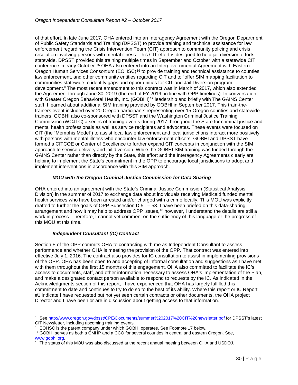of that effort. In late June 2017, OHA entered into an Interagency Agreement with the Oregon Department of Public Safety Standards and Training (DPSST) to provide training and technical assistance for law enforcement regarding the Crisis Intervention Team (CIT) approach to community policing and crisis resolution involving persons with mental illness. This CIT effort is designed to help jail diversion efforts statewide. DPSST provided this training multiple times in September and October with a statewide CIT conference in early October.[15](#page-29-0) OHA also entered into an Intergovernmental Agreement with Eastern Oregon Human Services Consortium (EOHSC)<sup>[16](#page-29-1)</sup> to provide training and technical assistance to counties, law enforcement, and other community entities regarding CIT and to "offer SIM mapping facilitation to communities statewide to identify gaps and opportunities for CIT and Jail Diversion program development." The most recent amendment to this contract was in March of 2017, which also extended the Agreement through June 30, 2019 (the end of FY 2019, in line with OPP timelines). In conversation with Greater Oregon Behavioral Health, Inc. (GOBHI)<sup>[17](#page-29-2)</sup> leadership and briefly with The GAINS Center staff, I learned about additional SIM training provided by GOBHI in September 2017. This train-thetrainers event included over 20 Oregon participants representing over 15 Oregon counties and statewide trainers. GOBHI also co-sponsored with DPSST and the Washington Criminal Justice Training Commission (WCJTC) a series of training events during 2017 throughout the State for criminal justice and mental health professionals as well as service recipients and advocates. These events were focused on CIT (the "Memphis Model") to assist local law enforcement and local jurisdictions interact more positively with persons with mental illness who encounter law enforcement officers. GOBHI and DPSST have formed a CITCOE or Center of Excellence to further expand CIT concepts in conjunction with the SIM approach to service delivery and jail diversion. While the GOBHI SIM training was funded through the GAINS Center rather than directly by the State, this effort and the Interagency Agreements clearly are helping to implement the State's commitment in the OPP to encourage local jurisdictions to adopt and implement interventions in accordance with this SIM approach.

# *MOU with the Oregon Criminal Justice Commission for Data Sharing*

OHA entered into an agreement with the State's Criminal Justice Commission (Statistical Analysis Division) in the summer of 2017 to exchange data about individuals receiving Medicaid funded mental health services who have been arrested and/or charged with a crime locally. This MOU was explicitly drafted to further the goals of OPP Subsection D.51 – 53. I have been briefed on this data-sharing arrangement and how it may help to address OPP issues,<sup>[18](#page-29-3)</sup> however, I understand the details are still a work in process. Therefore, I cannot yet comment on the sufficiency of this language or the progress of this MOU at this time.

# *Independent Consultant (IC) Contract*

Section F of the OPP commits OHA to contracting with me as Independent Consultant to assess performance and whether OHA is meeting the provision of the OPP. That contract was entered into effective July 1, 2016. The contract also provides for IC consultation to assist in implementing provisions of the OPP. OHA has been open to and accepting of informal consultation and suggestions as I have met with them throughout the first 15 months of this engagement. OHA also committed to facilitate the IC's access to documents, staff, and other information necessary to assess OHA's implementation of the Plan, and make a designated contact person available to respond to requests by the IC. As indicated in the Acknowledgments section of this report, I have experienced that OHA has largely fulfilled this commitment to date and continues to try to do so to the best of its ability. Where this report or IC Report #1 indicate I have requested but not yet seen certain contracts or other documents, the OHA project Director and I have been or are in discussion about getting access to that information.

<span id="page-29-0"></span> <sup>15</sup> Se[e http://www.oregon.gov/dpsst/CPE/Documents/summer%202017%20CIT%20newsletter.pdf](http://www.oregon.gov/dpsst/CPE/Documents/summer%202017%20CIT%20newsletter.pdf) for DPSST's latest CIT Newsletter, including upcoming training events.

<span id="page-29-1"></span><sup>&</sup>lt;sup>16</sup> EOHSC is the parent company under which GOBHI operates. See Footnote 17 below.

<span id="page-29-2"></span><sup>&</sup>lt;sup>17</sup> GOBHI serves as both a CMHP and a CCO for several counties in central and eastern Oregon. See, www.gobhi.org.

<span id="page-29-3"></span> $\frac{18}{18}$  The status of this MOU was also discussed at the recent annual meeting between OHA and USDOJ.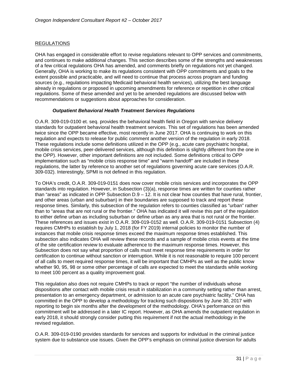### REGULATIONS

OHA has engaged in considerable effort to revise regulations relevant to OPP services and commitments, and continues to make additional changes. This section describes some of the strengths and weaknesses of a few critical regulations OHA has amended, and comments briefly on regulations not yet changed. Generally, OHA is working to make its regulations consistent with OPP commitments and goals to the extent possible and practicable, and will need to continue that process across program and funding sources (e.g., regulations impacting Medicaid behavioral health services), utilizing the best language already in regulations or proposed in upcoming amendments for reference or repetition in other critical regulations. Some of these amended and yet to be amended regulations are discussed below with recommendations or suggestions about approaches for consideration.

#### *Outpatient Behavioral Health Treatment Services Regulations*

O.A.R. 309-019-0100 et. seq. provides the behavioral health field in Oregon with service delivery standards for outpatient behavioral health treatment services. This set of regulations has been amended twice since the OPP became effective, most recently in June 2017. OHA is continuing to work on this regulation and expects to release for public comment another version of the regulation in early 2018. These regulations include some definitions utilized in the OPP (e.g., acute care psychiatric hospital, mobile crisis services, peer-delivered services, although this definition is slightly different from the one in the OPP). However, other important definitions are not included. Some definitions critical to OPP implementation such as "mobile crisis response time" and "warm handoff" are included in these regulations, the latter by reference to another set of regulations governing acute care services (O.A.R. 309-032). Interestingly, SPMI is not defined in this regulation.

To OHA's credit, O.A.R. 309-019-0151 does now cover mobile crisis services and incorporates the OPP standards into regulation. However, in Subsection (3)(a), response times are written for counties rather than "areas" as indicated in OPP Subsection D.9 – 12. It is not clear how counties that have rural, frontier, and other areas (urban and suburban) in their boundaries are supposed to track and report these response times. Similarly, this subsection of the regulation refers to counties classified as "urban" rather than to "areas that are not rural or the frontier." OHA has indicated it will revise this part of the regulation to either define urban as including suburban or define urban as any area that is not rural or the frontier. These references and issues exist in O.A.R. 309-019-0152 as well. O.A.R. 309-019-0151 Subsection (4) requires CMHPs to establish by July 1, 2018 (for FY 2019) internal policies to monitor the number of instances that mobile crisis response times exceed the maximum response times established. This subsection also indicates OHA will review these records and a sample of mobile crisis events at the time of the site certification review to evaluate adherence to the maximum response times. However, this Subsection does not say what proportion of calls must meet response time requirements in order for certification to continue without sanction or interruption. While it is not reasonable to require 100 percent of all calls to meet required response times, it will be important that CMHPs as well as the public know whether 90, 95, 98 or some other percentage of calls are expected to meet the standards while working to meet 100 percent as a quality improvement goal.

This regulation also does not require CMHPs to track or report "the number of individuals whose dispositions after contact with mobile crisis result in stabilization in a community setting rather than arrest, presentation to an emergency department, or admission to an acute care psychiatric facility." OHA has committed in the OPP to develop a methodology for tracking such dispositions by June 30, 2017 with reporting to begin six months after the development of the methodology. OHA's performance on this commitment will be addressed in a later IC report. However, as OHA amends the outpatient regulation in early 2018, it should strongly consider putting this requirement if not the actual methodology in the revised regulation.

O.A.R. 309-019-0190 provides standards for services and supports for individual in the criminal justice system due to substance use issues. Given the OPP's emphasis on criminal justice diversion for adults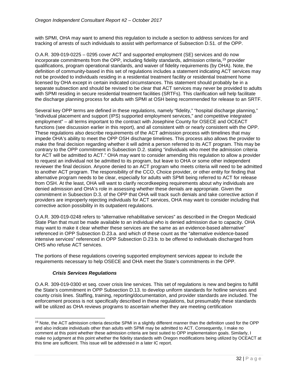with SPMI, OHA may want to amend this regulation to include a section to address services for and tracking of arrests of such individuals to assist with performance of Subsection D.51. of the OPP.

O.A.R. 309-019-0225 – 0295 cover ACT and supported employment (SE) services and do now incorporate commitments from the OPP, including fidelity standards, admission criteria,[19](#page-31-0) provider qualifications, program operational standards, and waiver of fidelity requirements (by OHA). Note, the definition of community-based in this set of regulations includes a statement indicating ACT services may not be provided to individuals residing in a residential treatment facility or residential treatment home licensed by OHA except in certain indicated circumstances. This statement should probably be in a separate subsection and should be revised to be clear that ACT services may never be provided to adults with SPMI residing in secure residential treatment facilities (SRTFs). This clarification will help facilitate the discharge planning process for adults with SPMI at OSH being recommended for release to an SRTF.

Several key OPP terms are defined in these regulations, namely "fidelity," "hospital discharge planning," "individual placement and support (IPS) supported employment services," and competitive integrated employment" – all terms important to the contract with Josephine County for OSECE and OCEACT functions (see discussion earlier in this report), and all consistent with or nearly consistent with the OPP. These regulations also describe requirements of the ACT admission process with timelines that may impede OHA's ability to meet the OPP OSH discharge timelines. This process also allows the provider to make the final decision regarding whether it will admit a person referred to its ACT program. This may be contrary to the OPP commitment in Subsection D.2. stating "individuals who meet the admission criteria for ACT will be admitted to ACT." OHA may want to consider amending this regulation to allow a provider to request an individual not be admitted to its program, but leave to OHA or some other independent reviewer the final decision. Anyone denied to an ACT program who meets criteria will need to be admitted to another ACT program. The responsibility of the CCO, Choice provider, or other entity for finding that alternative program needs to be clear, especially for adults with SPMI being referred to ACT for release from OSH. At the least, OHA will want to clarify recordkeeping requirements about why individuals are denied admission and OHA's role in assessing whether these denials are appropriate. Given the commitment in Subsection D.3. of the OPP that OHA will track such denials and take corrective action if providers are improperly rejecting individuals for ACT services, OHA may want to consider including that corrective action possibility in its outpatient regulations.

O.A.R. 309-019-0248 refers to "alternative rehabilitative services" as described in the Oregon Medicaid State Plan that must be made available to an individual who is denied admission due to capacity. OHA may want to make it clear whether these services are the same as an evidence-based alternative" referenced in OPP Subsection D.23.a. and which of these count as the "alternative evidence-based intensive services" referenced in OPP Subsection D.23.b. to be offered to individuals discharged from OHS who refuse ACT services.

The portions of these regulations covering supported employment services appear to include the requirements necessary to help OSECE and OHA meet the State's commitments in the OPP.

# *Crisis Services Regulations*

O.A.R. 309-019-0300 et seq. cover crisis line services. This set of regulations is new and begins to fulfill the State's commitment in OPP Subsection D.13. to develop uniform standards for hotline services and county crisis lines. Staffing, training, reporting/documentation, and provider standards are included. The enforcement process is not specifically described in these regulations, but presumably these standards will be utilized as OHA reviews programs to ascertain whether they are meeting certification

<span id="page-31-0"></span><sup>&</sup>lt;sup>19</sup> Note, the ACT admission criteria describe SPMI in a slightly different manner than the definition used for the OPP and also indicate individuals other than adults with SPMI may be admitted to ACT. Consequently, I make no comment at this point whether these admission criteria are best suited to OPP implementation goals. Similarly, I make no judgment at this point whether the fidelity standards with Oregon modifications being utilized by OCEACT at this time are sufficient. This issue will be addressed in a later IC report.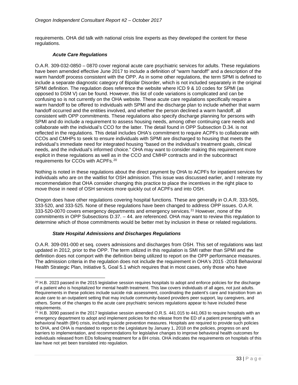requirements. OHA did talk with national crisis line experts as they developed the content for these regulations.

# *Acute Care Regulations*

O.A.R. 309-032-0850 – 0870 cover regional acute care psychiatric services for adults. These regulations have been amended effective June 2017 to include a definition of "warm handoff" and a description of the warm handoff process consistent with the OPP. As in some other regulations, the term SPMI is defined to include a separate diagnostic category of Bipolar Disorder, which is not included separately in the original SPMI definition. The regulation does reference the website where ICD 9 & 10 codes for SPMI (as opposed to DSM V) can be found. However, this list of code variations is complicated and can be confusing so is not currently on the OHA website. These acute care regulations specifically require a warm handoff to be offered to individuals with SPMI and the discharge plan to include whether that warm handoff occurred and the entities involved, and whether the person declined a warm handoff, all consistent with OPP commitments. These regulations also specify discharge planning for persons with SPMI and do include a requirement to assess housing needs, among other continuing care needs and collaborate with the individual's CCO for the latter. The detail found in OPP Subsection D.34. is not reflected in the regulations. This detail includes OHA's commitment to require ACPFs to collaborate with CCOs and CMHPs to seek to ensure individuals with SPMI are discharged to housing that meets the individual's immediate need for integrated housing "based on the individual's treatment goals, clinical needs, and the individual's informed choice." OHA may want to consider making this requirement more explicit in these regulations as well as in the CCO and CMHP contracts and in the subcontract requirements for CCOs with ACPFs.[20](#page-32-0)

Nothing is noted in these regulations about the direct payment by OHA to ACPFs for inpatient services for individuals who are on the waitlist for OSH admission. This issue was discussed earlier, and I reiterate my recommendation that OHA consider changing this practice to place the incentives in the right place to move those in need of OSH services more quickly out of ACPFs and into OSH.

Oregon does have other regulations covering hospital functions. These are generally in O.A.R. 333-505, 333-520, and 333-525. None of these regulations have been changed to address OPP issues. O.A.R. 333-520-0070 covers emergency departments and emergency services.<sup>[21](#page-32-1)</sup> However, none of the commitments in OPP Subsections D.37. – 44. are referenced. OHA may want to review this regulation to determine which of those commitments would be better met by inclusion in these or related regulations.

# *State Hospital Admissions and Discharges Regulations*

O.A.R. 309-091-000 et seq. covers admissions and discharges from OSH. This set of regulations was last updated in 2012, prior to the OPP. The term utilized in this regulation is SMI rather than SPMI and the definition does not comport with the definition being utilized to report on the OPP performance measures. The admission criteria in the regulation does not include the requirement in OHA's 2015 -2018 Behavioral Health Strategic Plan, Initiative 5, Goal 5.1 which requires that in most cases, only those who have

<span id="page-32-0"></span> $20$  H.B. 2023 passed in the 2015 legislative session requires hospitals to adopt and enforce policies for the discharge of a patient who is hospitalized for mental health treatment. This law covers individuals of all ages, not just adults. Requirements in these policies include suicide risk assessment, coordinating the patient's care and transition from an acute care to an outpatient setting that may include community-based providers peer support, lay caregivers, and others. Some of the changes to the acute care psychiatric services regulations appear to have included these requirements.

<span id="page-32-1"></span> $21$  H.B. 3090 passed in the 2017 legislative session amended O.R.S. 441.015 to 441.063 to require hospitals with an emergency department to adopt and implement policies for the release from the ED of a patient presenting with a behavioral health (BH) crisis, including suicide prevention measures. Hospitals are required to provide such policies to OHA, and OHA is mandated to report to the Legislature by January 1, 2018 on the policies, progress on and barriers to implementation, and recommendations for legislative changes to improve behavioral health outcomes for individuals released from EDs following treatment for a BH crisis. OHA indicates the requirements on hospitals of this law have not yet been translated into regulation.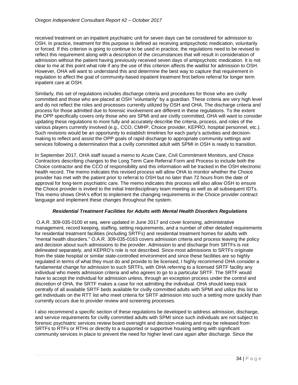received treatment on an inpatient psychiatric unit for seven days can be considered for admission to OSH. In practice, treatment for this purpose is defined as receiving antipsychotic medication, voluntarily or forced. If this criterion is going to continue to be used in practice, the regulations need to be revised to reflect this requirement along with a description of the circumstances that will result in consideration of admission without the patient having previously received seven days of antipsychotic medication. It is not clear to me at this point what role if any the use of this criterion affects the waitlist for admission to OSH. However, OHA will want to understand this and determine the best way to capture that requirement in regulation to affect the goal of community-based inpatient treatment first before referral for longer term inpatient care at OSH.

Similarly, this set of regulations includes discharge criteria and procedures for those who are civilly committed and those who are placed at OSH "voluntarily" by a guardian. These criteria are very high level and do not reflect the roles and processes currently utilized by OSH and OHA. The discharge criteria and process for those admitted due to forensic involvement are different in these regulations. To the extent the OPP specifically covers only those who are SPMI and are civilly committed, OHA will want to consider updating these regulations to more fully and accurately describe the criteria, process, and roles of the various players currently involved (e.g., CCO, CMHP, Choice provider, KEPRO, hospital personnel, etc.). Such revisions would be an opportunity to establish timelines for each party's activities and decisionmaking to reflect and assist the OPP goals of rapid discharge to appropriate community settings and services following a determination that a civilly committed adult with SPMI in OSH is ready to transition.

In September 2017, OHA staff issued a memo to Acute Care, Civil Commitment Monitors, and Choice Contractors describing changes to the Long Term Care Referral Form and Process to include both the Choice contractor and the CCO of responsibility and this information will be tracked in the OSH electronic health record. The memo indicates this revised process will allow OHA to monitor whether the Choice provider has met with the patient prior to referral to OSH but no later than 72 hours from the date of approval for long-term psychiatric care. The memo indicates this process will also allow OSH to ensure the Choice provider is invited to the initial Interdisciplinary team meeting as well as all subsequent IDTs. This memo shows OHA's effort to implement the changing requirements in the Choice provider contract language and implement these changes throughout the system.

## *Residential Treatment Facilities for Adults with Mental Health Disorders Regulations*

O.A.R. 309-035-0100 et seq. were updated in June 2017 and cover licensing, administrative management, record keeping, staffing, setting requirements, and a number of other detailed requirements for residential treatment facilities (including SRTFs) and residential treatment homes for adults with "mental health disorders." O.A.R. 309-035-0163 covers admission criteria and process leaving the policy and decision about such admissions to the provider. Admission to and discharge from SRTFs is not delineated separately, and KEPRO's role is not described. Since most admissions to SRTFs originate from the state hospital or similar state-controlled environment and since these facilities are so highly regulated in terms of what they must do and provide to be licensed, I highly recommend OHA consider a fundamental change for admission to such SRTFs, with OHA referring to a licensed SRTF facility any individual who meets admission criteria and who agrees to go to a particular SRTF. The SRTF would have to accept the individual for admission unless, through an exception process under the control and discretion of OHA, the SRTF makes a case for not admitting the individual. OHA should keep track centrally of all available SRTF beds available for civilly committed adults with SPMI and utilize this list to get individuals on the RTT list who meet criteria for SRTF admission into such a setting more quickly than currently occurs due to provider review and screening processes.

I also recommend a specific section of these regulations be developed to address admission, discharge, and service requirements for civilly committed adults with SPMI since such individuals are not subject to forensic psychiatric services review board oversight and decision-making and may be released from SRTFs to RTFs or RTHs or directly to a supported or supportive housing setting with significant community services in place to prevent the need for higher level care again after discharge. Since the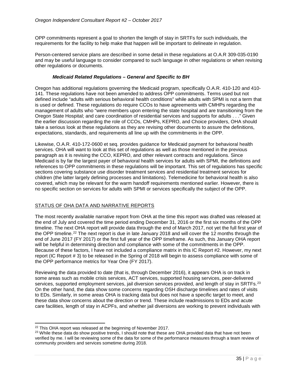OPP commitments represent a goal to shorten the length of stay in SRTFs for such individuals, the requirements for the facility to help make that happen will be important to delineate in regulation.

Person-centered service plans are described in some detail in these regulations at O.A.R 309-035-0190 and may be useful language to consider compared to such language in other regulations or when revising other regulations or documents.

#### *Medicaid Related Regulations – General and Specific to BH*

Oregon has additional regulations governing the Medicaid program, specifically O.A.R. 410-120 and 410- 141. These regulations have not been amended to address OPP commitments. Terms used but not defined include "adults with serious behavioral health conditions" while adults with SPMI is not a term that is used or defined. These regulations do require CCOs to have agreements with CMHPs regarding the management of adults who "were members upon entering the state hospital and are transitioning from the Oregon State Hospital; and care coordination of residential services and supports for adults . . ." Given the earlier discussion regarding the role of CCOs, CMHPs, KEPRO, and Choice providers, OHA should take a serious look at these regulations as they are revising other documents to assure the definitions, expectations, standards, and requirements all line up with the commitments in the OPP.

Likewise, O.A.R. 410-172-0600 et seq. provides guidance for Medicaid payment for behavioral health services. OHA will want to look at this set of regulations as well as those mentioned in the previous paragraph as it is revising the CCO, KEPRO, and other relevant contracts and regulations. Since Medicaid is by far the largest payer of behavioral health services for adults with SPMI, the definitions and references to OPP commitments in these regulations will be important. This set of regulations has specific sections covering substance use disorder treatment services and residential treatment services for children (the latter largely defining processes and limitations). Telemedicine for behavioral health is also covered, which may be relevant for the warm handoff requirements mentioned earlier. However, there is no specific section on services for adults with SPMI or services specifically the subject of the OPP.

# STATUS OF OHA DATA AND NARRATIVE REPORTS

The most recently available narrative report from OHA at the time this report was drafted was released at the end of July and covered the time period ending December 31, 2016 or the first six months of the OPP timeline. The next OHA report will provide data through the end of March 2017, not yet the full first year of the OPP timeline.<sup>[22](#page-34-0)</sup> The next report is due in late January 2018 and will cover the 12 months through the end of June 2017 (FY 2017) or the first full year of the OPP timeframe. As such, this January OHA report will be helpful in determining direction and compliance with some of the commitments in the OPP. Because of these factors, I have not included a compliance matrix in this IC Report #2. However, my next report (IC Report # 3) to be released in the Spring of 2018 will begin to assess compliance with some of the OPP performance metrics for Year One (FY 2017).

Reviewing the data provided to date (that is, through December 2016), it appears OHA is on track in some areas such as mobile crisis services, ACT services, supported housing services, peer-delivered services, supported employment services, jail diversion services provided, and length of stay in SRTFs.<sup>[23](#page-34-1)</sup> On the other hand, the data show some concerns regarding OSH discharge timelines and rates of visits to EDs. Similarly, in some areas OHA is tracking data but does not have a specific target to meet, and these data show concerns about the direction or trend. These include readmissions to EDs and acute care facilities, length of stay in ACPFs, and whether jail diversions are working to prevent individuals with

<span id="page-34-0"></span><sup>&</sup>lt;sup>22</sup> This OHA report was released at the beginning of November 2017.

<span id="page-34-1"></span><sup>&</sup>lt;sup>23</sup> While these data do show positive trends, I should note that these are OHA provided data that have not been verified by me. I will be reviewing some of the data for some of the performance measures through a team review of community providers and services sometime during 2018.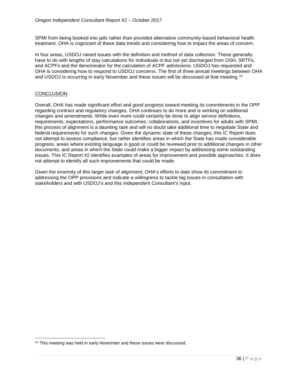SPMI from being booked into jails rather than provided alternative community-based behavioral health treatment. OHA is cognizant of these data trends and considering how to impact the areas of concern.

In four areas, USDOJ raised issues with the definition and method of data collection. These generally have to do with lengths of stay calculations for individuals in but not vet discharged from OSH, SRTFs, and ACPFs and the denominator for the calculation of ACPF admissions. USDOJ has requested and OHA is considering how to respond to USDOJ concerns. The first of three annual meetings between OHA and USDOJ is occurring in early November and these issues will be discussed at that meeting.<sup>[24](#page-35-0)</sup>

#### **CONCLUSION**

Overall, OHA has made significant effort and good progress toward meeting its commitments in the OPP regarding contract and regulatory changes. OHA continues to do more and is working on additional changes and amendments. While even more could certainly be done to align service definitions, requirements, expectations, performance outcomes, collaborations, and incentives for adults with SPMI, this process of alignment is a daunting task and will no doubt take additional time to negotiate State and federal requirements for such changes. Given the dynamic state of these changes, this IC Report does not attempt to assess compliance, but rather identifies areas in which the State has made considerable progress, areas where existing language is good or could be reviewed prior to additional changes in other documents, and areas in which the State could make a bigger impact by addressing some outstanding issues. This IC Report #2 identifies examples of areas for improvement and possible approaches. It does not attempt to identify all such improvements that could be made.

Given the enormity of this larger task of alignment, OHA's efforts to date show its commitment to addressing the OPP provisions and indicate a willingness to tackle big issues in consultation with stakeholders and with USDOJ's and this Independent Consultant's input.

<span id="page-35-0"></span><sup>&</sup>lt;sup>24</sup> This meeting was held in early November and these issues were discussed.